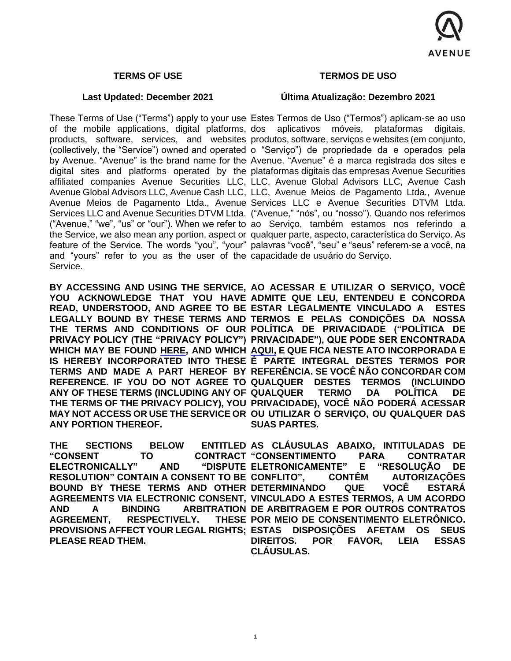

#### **TERMS OF USE**

#### **Last Updated: December 2021**

and "yours" refer to you as the user of the capacidade de usuário do Serviço. Service.

**ANY PORTION THEREOF.**

**ELECTRONICALLY"** AND **RESOLUTION" CONTAIN A CONSENT TO BE AGREEMENT, RESPECTIVELY. PLEASE READ THEM.**

#### **TERMOS DE USO**

#### **Última Atualização: Dezembro 2021**

These Terms of Use ("Terms") apply to your use Estes Termos de Uso ("Termos") aplicam-se ao uso of the mobile applications, digital platforms, dos aplicativos móveis, plataformas digitais, products, software, services, and websites produtos, software, serviços e websites (em conjunto, (collectively, the "Service") owned and operated o "Serviço") de propriedade da e operados pela by Avenue. "Avenue" is the brand name for the Avenue. "Avenue" é a marca registrada dos sites e digital sites and platforms operated by the plataformas digitais das empresas Avenue Securities affiliated companies Avenue Securities LLC, LLC, Avenue Global Advisors LLC, Avenue Cash Avenue Global Advisors LLC, Avenue Cash LLC, LLC, Avenue Meios de Pagamento Ltda., Avenue Avenue Meios de Pagamento Ltda., Avenue Services LLC e Avenue Securities DTVM Ltda. Services LLC and Avenue Securities DTVM Ltda. ("Avenue," "nós", ou "nosso"). Quando nos referimos ("Avenue," "we", "us" or "our"). When we refer to ao Serviço, também estamos nos referindo a the Service, we also mean any portion, aspect or qualquer parte, aspecto, característica do Serviço. As feature of the Service. The words "you", "your" palavras "você", "seu" e "seus" referem-se a você, na

**BY ACCESSING AND USING THE SERVICE, AO ACESSAR E UTILIZAR O SERVIÇO, VOCÊ**  YOU ACKNOWLEDGE THAT YOU HAVE ADMITE QUE LEU, ENTENDEU E CONCORDA READ, UNDERSTOOD, AND AGREE TO BE ESTAR LEGALMENTE VINCULADO A ESTES LEGALLY BOUND BY THESE TERMS AND TERMOS E PELAS CONDIÇÕES DA NOSSA THE TERMS AND CONDITIONS OF OUR POLÍTICA DE PRIVACIDADE ("POLÍTICA DE **PRIVACY POLICY (THE "PRIVACY POLICY") PRIVACIDADE"), QUE PODE SER ENCONTRADA WHICH MAY BE FOUND [HERE,](https://www.avenue.us/en/disclosures/) AND WHICH [AQUI,](https://www.avenue.us/termos/) E QUE FICA NESTE ATO INCORPORADA E IS HEREBY INCORPORATED INTO THESE É PARTE INTEGRAL DESTES TERMOS POR TERMS AND MADE A PART HEREOF BY REFERÊNCIA. SE VOCÊ NÃO CONCORDAR COM REFERENCE. IF YOU DO NOT AGREE TO QUALQUER DESTES TERMOS (INCLUINDO ANY OF THESE TERMS (INCLUDING ANY OF QUALQUER TERMO DA POLÍTICA DE THE TERMS OF THE PRIVACY POLICY), YOU PRIVACIDADE), VOCÊ NÃO PODERÁ ACESSAR MAY NOT ACCESS OR USE THE SERVICE OR OU UTILIZAR O SERVIÇO, OU QUALQUER DAS SUAS PARTES.**

**THE SECTIONS BELOW ENTITLED AS CLÁUSULAS ABAIXO, INTITULADAS DE "CONSENT TO CONTRACT "CONSENTIMENTO PARA CONTRATAR**  BOUND BY THESE TERMS AND OTHER DETERMINANDO QUE VOCË ESTARÁ **AGREEMENTS VIA ELECTRONIC CONSENT, VINCULADO A ESTES TERMOS, A UM ACORDO AND A BINDING ARBITRATION DE ARBITRAGEM E POR OUTROS CONTRATOS PROVISIONS AFFECT YOUR LEGAL RIGHTS; ESTAS DISPOSIÇÕES AFETAM OS SEUS ELETRONICAMENTE" E "RESOLUÇÃO DE CONTÊM AUTORIZAÇÕES THESE POR MEIO DE CONSENTIMENTO ELETRÔNICO. DIREITOS. POR FAVOR, LEIA ESSAS CLÁUSULAS.**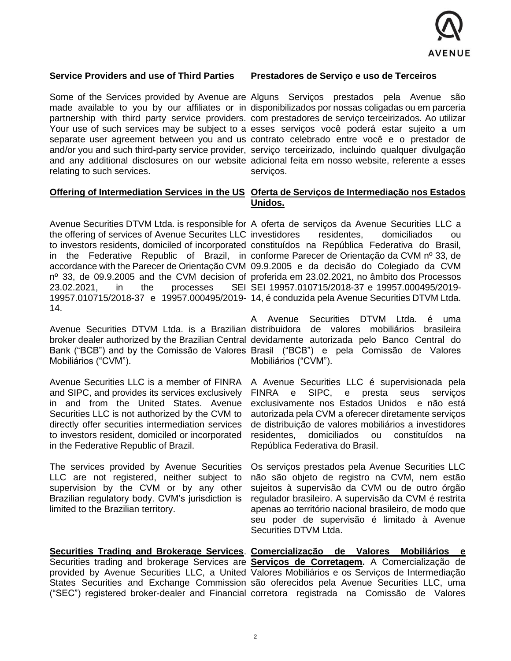

#### **Service Providers and use of Third Parties**

**Prestadores de Serviço e uso de Terceiros** 

relating to such services.

Some of the Services provided by Avenue are Alguns Serviços prestados pela Avenue são made available to you by our affiliates or in disponibilizados por nossas coligadas ou em parceria partnership with third party service providers. com prestadores de serviço terceirizados. Ao utilizar Your use of such services may be subject to a esses serviços você poderá estar sujeito a um separate user agreement between you and us contrato celebrado entre você e o prestador de and/or you and such third-party service provider, serviço terceirizado, incluindo qualquer divulgação and any additional disclosures on our website adicional feita em nosso website, referente a esses servicos.

# **Offering of Intermediation Services in the US** Oferta de Serviços de Intermediação nos Estados **Unidos.**

 $23.02.2021$ , in the processes 14.

Mobiliários ("CVM").

Avenue Securities LLC is a member of FINRA and SIPC, and provides its services exclusively in and from the United States. Avenue Securities LLC is not authorized by the CVM to directly offer securities intermediation services to investors resident, domiciled or incorporated in the Federative Republic of Brazil.

The services provided by Avenue Securities LLC are not registered, neither subject to supervision by the CVM or by any other Brazilian regulatory body. CVM's jurisdiction is limited to the Brazilian territory.

Avenue Securities DTVM Ltda. is responsible for A oferta de serviços da Avenue Securities LLC a the offering of services of Avenue Securites LLC investidores residentes, domiciliados ou to investors residents, domiciled of incorporated constituídos na República Federativa do Brasil, in the Federative Republic of Brazil, in conforme Parecer de Orientação da CVM nº 33, de accordance with the Parecer de Orientação CVM 09.9.2005 e da decisão do Colegiado da CVM nº 33, de 09.9.2005 and the CVM decision of proferida em 23.02.2021, no âmbito dos Processos 19957.010715/2018-37 e 19957.000495/2019- 14, é conduzida pela Avenue Securities DTVM Ltda. SEI 19957.010715/2018-37 e 19957.000495/2019-

Avenue Securities DTVM Ltda. is a Brazilian distribuidora de valores mobiliários brasileira broker dealer authorized by the Brazilian Central devidamente autorizada pelo Banco Central do Bank ("BCB") and by the Comissão de Valores Brasil ("BCB") e pela Comissão de Valores A Avenue Securities DTVM Ltda. é uma Mobiliários ("CVM").

> A Avenue Securities LLC é supervisionada pela FINRA e SIPC, e presta seus serviços exclusivamente nos Estados Unidos e não está autorizada pela CVM a oferecer diretamente serviços de distribuição de valores mobiliários a investidores residentes, domiciliados ou constituídos na República Federativa do Brasil.

> Os serviços prestados pela Avenue Securities LLC não são objeto de registro na CVM, nem estão sujeitos à supervisão da CVM ou de outro órgão regulador brasileiro. A supervisão da CVM é restrita apenas ao território nacional brasileiro, de modo que seu poder de supervisão é limitado à Avenue Securities DTVM Ltda.

**Securities Trading and Brokerage Services**. **Comercialização de Valores Mobiliários e**  Securities trading and brokerage Services are **Serviços de Corretagem.** A Comercialização de provided by Avenue Securities LLC, a United Valores Mobiliários e os Serviços de Intermediação States Securities and Exchange Commission são oferecidos pela Avenue Securities LLC, uma ("SEC") registered broker-dealer and Financial corretora registrada na Comissão de Valores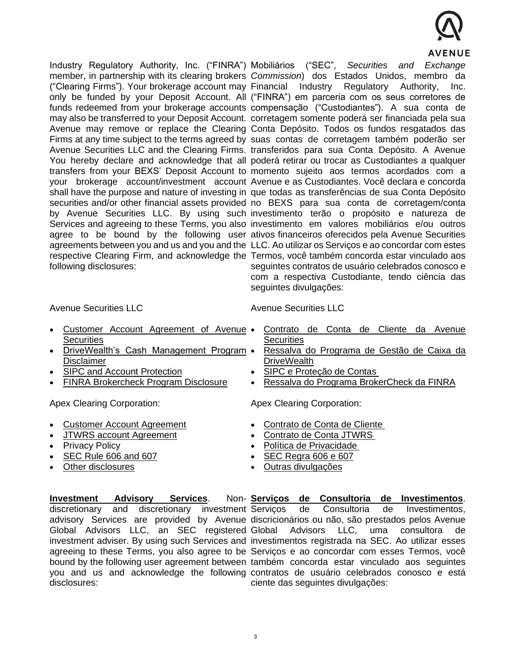

Industry Regulatory Authority, Inc. ("FINRA") Mobiliários ("SEC", *Securities and Exchange*  member, in partnership with its clearing brokers *Commission*) dos Estados Unidos, membro da ("Clearing Firms"). Your brokerage account may Financial Industry Regulatory Authority, Inc. only be funded by your Deposit Account. All ("FINRA") em parceria com os seus corretores de funds redeemed from your brokerage accounts compensação ("Custodiantes"). A sua conta de may also be transferred to your Deposit Account. corretagem somente poderá ser financiada pela sua Avenue may remove or replace the Clearing Conta Depósito. Todos os fundos resgatados das Firms at any time subject to the terms agreed by suas contas de corretagem também poderão ser Avenue Securities LLC and the Clearing Firms. transferidos para sua Conta Depósito. A Avenue You hereby declare and acknowledge that all poderá retirar ou trocar as Custodiantes a qualquer transfers from your BEXS' Deposit Account to momento sujeito aos termos acordados com a your brokerage account/investment account Avenue e as Custodiantes. Você declara e concorda shall have the purpose and nature of investing in que todas as transferências de sua Conta Depósito securities and/or other financial assets provided no BEXS para sua conta de corretagem/conta by Avenue Securities LLC. By using such investimento terão o propósito e natureza de Services and agreeing to these Terms, you also investimento em valores mobiliários e/ou outros agree to be bound by the following user ativos financeiros oferecidos pela Avenue Securities agreements between you and us and you and the LLC. Ao utilizar os Serviços e ao concordar com estes respective Clearing Firm, and acknowledge the Termos, você também concorda estar vinculado aos following disclosures: seguintes contratos de usuário celebrados conosco e com a respectiva Custodiante, tendo ciência das

Avenue Securities LLC

- [Customer Account Agreement of Avenue](https://storage.googleapis.com/instdocbox/customer_agreement_pt_en.pdf)  **[Securities](https://storage.googleapis.com/instdocbox/customer_agreement_pt_en.pdf)**
- [DriveWealth's Cash Management Program](https://storage.googleapis.com/instdocbox/other_dw_cash_management_program_disclaimer.pdf)  [Disclaimer](https://storage.googleapis.com/instdocbox/other_dw_cash_management_program_disclaimer.pdf)
- [SIPC and Account Protection](https://storage.googleapis.com/instdocbox/other_sipc_and_account_protection.pdf)
- [FINRA Brokercheck Program Disclosure](https://storage.googleapis.com/instdocbox/other_finra_brokercheck_program_disclosure.pdf)

Apex Clearing Corporation:

- Customer Account Agreement
- JTWRS account Agreement
- Privacy Policy
- [SEC Rule 606 and 607](https://www.apexclearing.com/sec-rule-606-and-607/)
- [Other disclosures](https://www.apexclearing.com/disclosures/)

Avenue Securities LLC

seguintes divulgações:

- [Contrato de Conta de Cliente da Avenue](https://storage.googleapis.com/instdocbox/customer_agreement_pt_en.pdf)  **[Securities](https://storage.googleapis.com/instdocbox/customer_agreement_pt_en.pdf)**
- [Ressalva do Programa de Gestão de Caixa d](https://storage.googleapis.com/instdocbox/other_dw_cash_management_program_disclaimer.pdf)a **DriveWealth**
- [SIPC e Proteção de Contas](https://storage.googleapis.com/instdocbox/other_sipc_and_account_protection.pdf)
- [Ressalva do Programa BrokerCheck d](https://storage.googleapis.com/instdocbox/other_finra_brokercheck_program_disclosure.pdf)a FINRA

Apex Clearing Corporation:

- Contrato de Conta de Cliente
- Contrato de Conta JTWRS
- [Política de Privacidade](https://www.apexclearing.com/privacy-policy/)
- [SEC Regra 606 e 607](https://www.apexclearing.com/sec-rule-606-and-607/)
- [Outras divulgações](https://www.apexclearing.com/disclosures/)

**Investment Advisory Services.** discretionary and discretionary investment Servicos disclosures:

advisory Services are provided by Avenue discricionários ou não, são prestados pelos Avenue Global Advisors LLC, an SEC registered Global Advisors LLC, uma consultora de investment adviser. By using such Services and investimentos registrada na SEC. Ao utilizar esses agreeing to these Terms, you also agree to be Serviços e ao concordar com esses Termos, você bound by the following user agreement between também concorda estar vinculado aos seguintes you and us and acknowledge the following contratos de usuário celebrados conosco e está **Serviços de Consultoria de Investimentos**. de Consultoria de Investimentos, ciente das seguintes divulgações: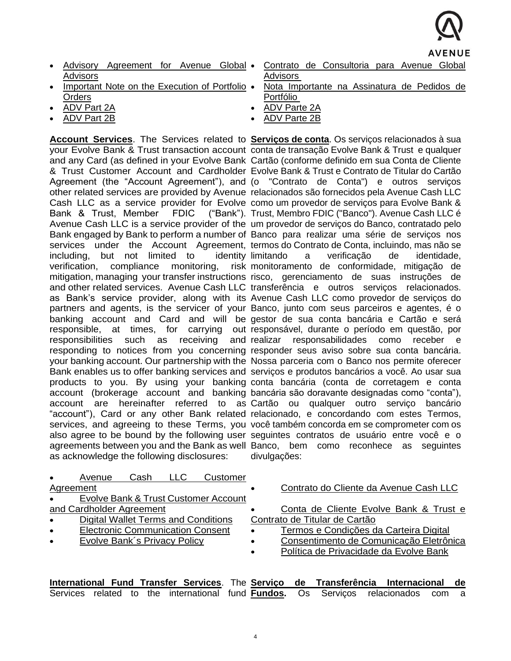

- [Advisory Agreement for Avenue Global](https://storage.googleapis.com/instdocbox/advisory_agreement_for_avenue_global_advisors-en.pdf)  [Advisors](https://storage.googleapis.com/instdocbox/advisory_agreement_for_avenue_global_advisors-en.pdf)
- [Important Note on the Execution of Portfolio](https://storage.googleapis.com/proddocbox/aga_disclosure_execution_portfolio_orders.pdf)  **[Orders](https://storage.googleapis.com/proddocbox/aga_disclosure_execution_portfolio_orders.pdf)**
- [ADV Part 2A](https://storage.googleapis.com/proddocbox/advisor_2a.pdf)
- [ADV Part 2B](https://storage.googleapis.com/instdocbox/advisor_2b.pdf)

Bank & Trust, Member FDIC including, but not limited to identity verification, compliance monitoring, as acknowledge the following disclosures:

- Contrato de Consultoria para Avenue Global [Advisors](https://storage.googleapis.com/instdocbox/advisory_agreement_for_avenue_global_advisors-en.pdf)
- Nota Importante na Assinatura de [Pedidos de](https://storage.googleapis.com/proddocbox/aga_disclosure_execution_portfolio_orders.pdf)  [Portfólio](https://storage.googleapis.com/proddocbox/aga_disclosure_execution_portfolio_orders.pdf)
- [ADV Parte 2A](https://storage.googleapis.com/proddocbox/advisor_2a.pdf)
- [ADV Parte 2B](https://storage.googleapis.com/instdocbox/advisor_2b.pdf)

Account Services. The Services related to Serviços de conta. Os serviços relacionados à sua your Evolve Bank & Trust transaction account conta de transação Evolve Bank & Trust e qualquer and any Card (as defined in your Evolve Bank Cartão (conforme definido em sua Conta de Cliente & Trust Customer Account and Cardholder Evolve Bank & Trust e Contrato de Titular do Cartão Agreement (the "Account Agreement"), and (o "Contrato de Conta") e outros serviços other related services are provided by Avenue relacionados são fornecidos pela Avenue Cash LLC Cash LLC as a service provider for Evolve como um provedor de serviços para Evolve Bank & Avenue Cash LLC is a service provider of the um provedor de serviços do Banco, contratado pelo Bank engaged by Bank to perform a number of Banco para realizar uma série de serviços nos services under the Account Agreement, termos do Contrato de Conta, incluindo, mas não se mitigation, managing your transfer instructions risco, gerenciamento de suas instruções de and other related services. Avenue Cash LLC transferência e outros serviços relacionados. as Bank's service provider, along with its Avenue Cash LLC como provedor de serviços do partners and agents, is the servicer of your Banco, junto com seus parceiros e agentes, é o banking account and Card and will be gestor de sua conta bancária e Cartão e será responsible, at times, for carrying out responsável, durante o período em questão, por responsibilities such as receiving and-realizar responsabilidades como receber e responding to notices from you concerning responder seus aviso sobre sua conta bancária. your banking account. Our partnership with the Nossa parceria com o Banco nos permite oferecer Bank enables us to offer banking services and serviços e produtos bancários a você. Ao usar sua products to you. By using your banking conta bancária (conta de corretagem e conta account (brokerage account and banking bancária são doravante designadas como "conta"), account are hereinafter referred to as Cartão ou qualquer outro serviço bancário "account"), Card or any other Bank related relacionado, e concordando com estes Termos, services, and agreeing to these Terms, you você também concorda em se comprometer com os also agree to be bound by the following user seguintes contratos de usuário entre você e o agreements between you and the Bank as well Banco, bem como reconhece as seguintes ("Bank"). Trust, Membro FDIC ("Banco"). Avenue Cash LLC é a verificação de identidade, monitoramento de conformidade, mitigação de divulgações:

|           | Avenue                                     | Cash | LLC. | Customer |           |                                         |  |  |  |  |
|-----------|--------------------------------------------|------|------|----------|-----------|-----------------------------------------|--|--|--|--|
| Agreement |                                            |      |      |          |           | Contrato do Cliente da Avenue Cash LLC  |  |  |  |  |
|           | Evolve Bank & Trust Customer Account       |      |      |          |           |                                         |  |  |  |  |
|           | and Cardholder Agreement                   |      |      |          |           | Conta de Cliente Evolve Bank & Trust e  |  |  |  |  |
| $\bullet$ | <b>Digital Wallet Terms and Conditions</b> |      |      |          |           | Contrato de Titular de Cartão           |  |  |  |  |
| $\bullet$ | <b>Electronic Communication Consent</b>    |      |      |          |           | Termos e Condições da Carteira Digital  |  |  |  |  |
| $\bullet$ | <b>Evolve Bank's Privacy Policy</b>        |      |      |          | $\bullet$ | Consentimento de Comunicação Eletrônica |  |  |  |  |
|           |                                            |      |      |          | $\bullet$ | Política de Privacidade da Evolve Bank  |  |  |  |  |
|           |                                            |      |      |          |           |                                         |  |  |  |  |

**International Fund Transfer Services**. The **Serviço de Transferência Internacional de**  Services related to the international fund **Fundos.** Os Serviços relacionados com a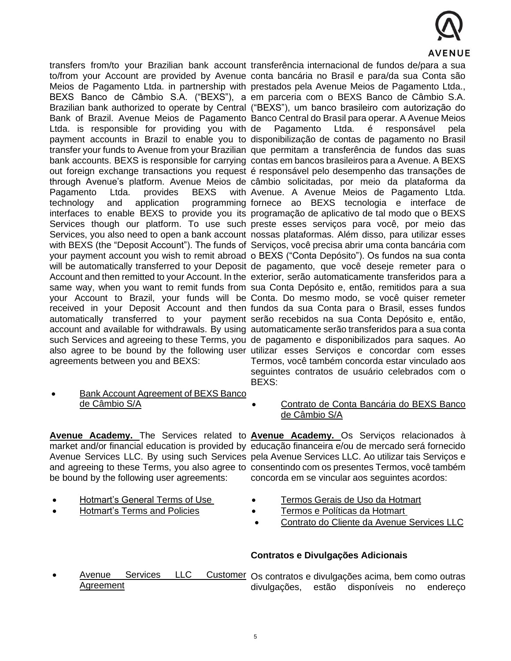

transfers from/to your Brazilian bank account transferência internacional de fundos de/para a sua Ltda. is responsible for providing you with Pagamento Ltda. provides BEXS agreements between you and BEXS:

to/from your Account are provided by Avenue conta bancária no Brasil e para/da sua Conta são Meios de Pagamento Ltda. in partnership with prestados pela Avenue Meios de Pagamento Ltda., BEXS Banco de Câmbio S.A. ("BEXS"), a em parceria com o BEXS Banco de Câmbio S.A. Brazilian bank authorized to operate by Central ("BEXS"), um banco brasileiro com autorização do Bank of Brazil. Avenue Meios de Pagamento Banco Central do Brasil para operar. A Avenue Meios payment accounts in Brazil to enable you to disponibilização de contas de pagamento no Brasil transfer your funds to Avenue from your Brazilian que permitam a transferência de fundos das suas bank accounts. BEXS is responsible for carrying contas em bancos brasileiros para a Avenue. A BEXS out foreign exchange transactions you request é responsável pelo desempenho das transações de through Avenue's platform. Avenue Meios de câmbio solicitadas, por meio da plataforma da technology and application programming-fornece ao BEXS tecnologia e interface de interfaces to enable BEXS to provide you its programação de aplicativo de tal modo que o BEXS Services though our platform. To use such preste esses serviços para você, por meio das Services, you also need to open a bank account nossas plataformas. Além disso, para utilizar esses with BEXS (the "Deposit Account"). The funds of Serviços, você precisa abrir uma conta bancária com your payment account you wish to remit abroad o BEXS ("Conta Depósito"). Os fundos na sua conta will be automatically transferred to your Deposit de pagamento, que você deseje remeter para o Account and then remitted to your Account. In the exterior, serão automaticamente transferidos para a same way, when you want to remit funds from sua Conta Depósito e, então, remitidos para a sua your Account to Brazil, your funds will be Conta. Do mesmo modo, se você quiser remeter received in your Deposit Account and then fundos da sua Conta para o Brasil, esses fundos automatically transferred to your payment serão recebidos na sua Conta Depósito e, então, account and available for withdrawals. By using automaticamente serão transferidos para a sua conta such Services and agreeing to these Terms, you de pagamento e disponibilizados para saques. Ao also agree to be bound by the following user utilizar esses Serviços e concordar com esses Pagamento Ltda. é responsável pela with Avenue. A Avenue Meios de Pagamento Ltda. Termos, você também concorda estar vinculado aos seguintes contratos de usuário celebrados com o BEXS:

• [Bank Account Agreement](https://storage.googleapis.com/proddocbox/bexs_agreement.pdf) of BEXS Banco [de Câmbio S/A](https://storage.googleapis.com/proddocbox/bexs_agreement.pdf)

• [Contrato de Conta Bancária do BEXS Banco](https://storage.googleapis.com/proddocbox/bexs_agreement.pdf)  [de Câmbio S/A](https://storage.googleapis.com/proddocbox/bexs_agreement.pdf)

be bound by the following user agreements:

- [Hotmart's General Terms of Use](https://www.hotmart.com/legal/en/terms-of-use)
- [Hotmart's Terms](https://www.hotmart.com/legal/en) and Policies

Avenue Academy. The Services related to **Avenue Academy.** Os Serviços relacionados à market and/or financial education is provided by educação financeira e/ou de mercado será fornecido Avenue Services LLC. By using such Services pela Avenue Services LLC. Ao utilizar tais Serviços e and agreeing to these Terms, you also agree to consentindo com os presentes Termos, você também concorda em se vincular aos seguintes acordos:

- [Termos Gerais de Uso da Hotmart](https://www.hotmart.com/legal/pt-BR/terms-of-use)
- [Termos e Políticas da Hotmart](https://storage.googleapis.com/proddocbox/customer-agreement-avenue-services.pdf)
- [Contrato do Cliente da Avenue Services LLC](https://storage.googleapis.com/proddocbox/customer-agreement-avenue-services.pdf)

# **Contratos e Divulgações Adicionais**

• [Avenue Services LLC Customer](https://storage.googleapis.com/proddocbox/customer-agreement-avenue-services.pdf) Os contratos e divulgações acima, bem como outras **[Agreement](https://storage.googleapis.com/proddocbox/customer-agreement-avenue-services.pdf)** divulgações, estão disponíveis no endereço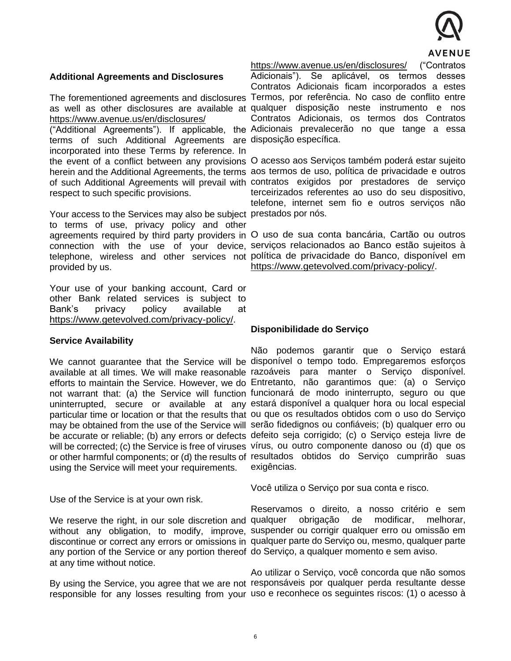

### **Additional Agreements and Disclosures**

The forementioned agreements and disclosures <https://www.avenue.us/en/disclosures/>

terms of such Additional Agreements are disposição específica. incorporated into these Terms by reference. In respect to such specific provisions.

Your access to the Services may also be subject prestados por nós. to terms of use, privacy policy and other provided by us.

Your use of your banking account, Card or other Bank related services is subject to Bank's privacy policy available at [https://www.getevolved.com/privacy-policy/.](https://www.getevolved.com/privacy-policy/)

#### **Service Availability**

using the Service will meet your requirements.

Use of the Service is at your own risk.

any portion of the Service or any portion thereof do Serviço, a qualquer momento e sem aviso. at any time without notice.

<https://www.avenue.us/en/disclosures/> ("Contratos Adicionais"). Se aplicável, os termos desses

as well as other disclosures are available at qualquer disposição neste instrumento e nos ("Additional Agreements"). If applicable, the Adicionais prevalecerão no que tange a essa Contratos Adicionais ficam incorporados a estes Termos, por referência. No caso de conflito entre Contratos Adicionais, os termos dos Contratos

the event of a conflict between any provisions O acesso aos Serviços também poderá estar sujeito herein and the Additional Agreements, the terms aos termos de uso, política de privacidade e outros of such Additional Agreements will prevail with contratos exigidos por prestadores de serviço terceirizados referentes ao uso do seu dispositivo, telefone, internet sem fio e outros serviços não

agreements required by third party providers in O uso de sua conta bancária, Cartão ou outros connection with the use of your device, serviços relacionados ao Banco estão sujeitos à telephone, wireless and other services not política de privacidade do Banco, disponível em [https://www.getevolved.com/privacy-policy/.](https://www.getevolved.com/privacy-policy/)

#### **Disponibilidade do Serviço**

We cannot guarantee that the Service will be disponível o tempo todo. Empregaremos esforços available at all times. We will make reasonable razoáveis para manter o Serviço disponível. efforts to maintain the Service. However, we do Entretanto, não garantimos que: (a) o Serviço not warrant that: (a) the Service will function funcionará de modo ininterrupto, seguro ou que uninterrupted, secure or available at any estará disponível a qualquer hora ou local especial particular time or location or that the results that ou que os resultados obtidos com o uso do Serviço may be obtained from the use of the Service will serão fidedignos ou confiáveis; (b) qualquer erro ou be accurate or reliable; (b) any errors or defects defeito seja corrigido; (c) o Serviço esteja livre de will be corrected; (c) the Service is free of viruses vírus, ou outro componente danoso ou (d) que os or other harmful components; or (d) the results of resultados obtidos do Serviço cumprirão suas Não podemos garantir que o Serviço estará exigências.

Você utiliza o Serviço por sua conta e risco.

We reserve the right, in our sole discretion and qualquer obrigação de modificar, melhorar, without any obligation, to modify, improve, suspender ou corrigir qualquer erro ou omissão em discontinue or correct any errors or omissions in qualquer parte do Serviço ou, mesmo, qualquer parte Reservamos o direito, a nosso critério e sem

By using the Service, you agree that we are not responsáveis por qualquer perda resultante desse responsible for any losses resulting from your uso e reconhece os seguintes riscos: (1) o acesso à Ao utilizar o Serviço, você concorda que não somos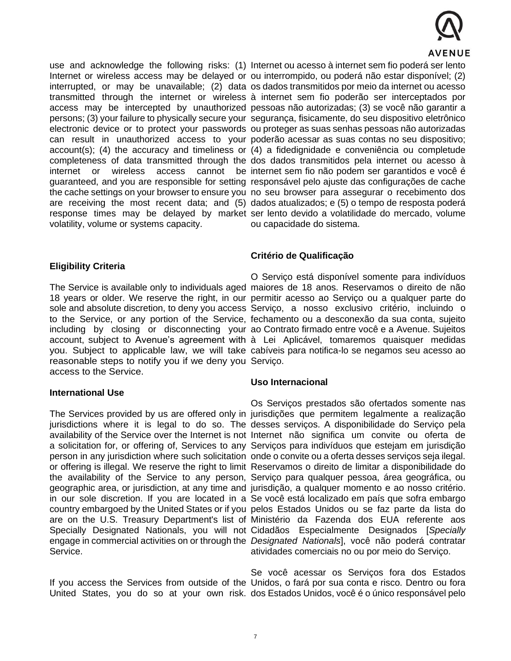

volatility, volume or systems capacity.

# **Eligibility Criteria**

reasonable steps to notify you if we deny you Serviço. access to the Service.

#### **International Use**

Service.

use and acknowledge the following risks: (1) Internet ou acesso à internet sem fio poderá ser lento Internet or wireless access may be delayed or ou interrompido, ou poderá não estar disponível; (2) interrupted, or may be unavailable; (2) data os dados transmitidos por meio da internet ou acesso transmitted through the internet or wireless à internet sem fio poderão ser interceptados por access may be intercepted by unauthorized pessoas não autorizadas; (3) se você não garantir a persons; (3) your failure to physically secure your segurança, fisicamente, do seu dispositivo eletrônico electronic device or to protect your passwords ou proteger as suas senhas pessoas não autorizadas can result in unauthorized access to your poderão acessar as suas contas no seu dispositivo; account(s); (4) the accuracy and timeliness or (4) a fidedignidade e conveniência ou completude completeness of data transmitted through the dos dados transmitidos pela internet ou acesso à internet or wireless access cannot be internet sem fio não podem ser garantidos e você é guaranteed, and you are responsible for setting responsável pelo ajuste das configurações de cache the cache settings on your browser to ensure you no seu browser para assegurar o recebimento dos are receiving the most recent data; and (5) dados atualizados; e (5) o tempo de resposta poderá response times may be delayed by market ser lento devido a volatilidade do mercado, volume ou capacidade do sistema.

# **Critério de Qualificação**

The Service is available only to individuals aged maiores de 18 anos. Reservamos o direito de não 18 years or older. We reserve the right, in our permitir acesso ao Serviço ou a qualquer parte do sole and absolute discretion, to deny you access Serviço, a nosso exclusivo critério, incluindo o to the Service, or any portion of the Service, fechamento ou a desconexão da sua conta, sujeito including by closing or disconnecting your ao Contrato firmado entre você e a Avenue. Sujeitos account, subject to Avenue's agreement with à Lei Aplicável, tomaremos quaisquer medidas you. Subject to applicable law, we will take cabíveis para notifica-lo se negamos seu acesso ao O Serviço está disponível somente para indivíduos

#### **Uso Internacional**

The Services provided by us are offered only in jurisdições que permitem legalmente a realização jurisdictions where it is legal to do so. The desses serviços. A disponibilidade do Serviço pela availability of the Service over the Internet is not Internet não significa um convite ou oferta de a solicitation for, or offering of, Services to any Serviços para indivíduos que estejam em jurisdição person in any jurisdiction where such solicitation onde o convite ou a oferta desses serviços seja ilegal. or offering is illegal. We reserve the right to limit Reservamos o direito de limitar a disponibilidade do the availability of the Service to any person, Serviço para qualquer pessoa, área geográfica, ou geographic area, or jurisdiction, at any time and jurisdição, a qualquer momento e ao nosso critério. in our sole discretion. If you are located in a Se você está localizado em país que sofra embargo country embargoed by the United States or if you pelos Estados Unidos ou se faz parte da lista do are on the U.S. Treasury Department's list of Ministério da Fazenda dos EUA referente aos Specially Designated Nationals, you will not Cidadãos Especialmente Designados [*Specially*  engage in commercial activities on or through the *Designated Nationals*], você não poderá contratar Os Serviços prestados são ofertados somente nas atividades comerciais no ou por meio do Serviço.

If you access the Services from outside of the Unidos, o fará por sua conta e risco. Dentro ou fora United States, you do so at your own risk. dos Estados Unidos, você é o único responsável pelo Se você acessar os Serviços fora dos Estados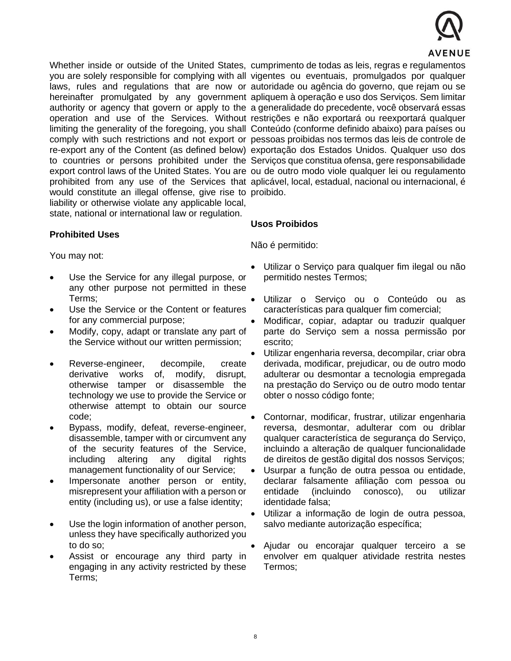

Whether inside or outside of the United States, cumprimento de todas as leis, regras e regulamentos would constitute an illegal offense, give rise to proibido. liability or otherwise violate any applicable local, state, national or international law or regulation.

# you are solely responsible for complying with all vigentes ou eventuais, promulgados por qualquer laws, rules and regulations that are now or autoridade ou agência do governo, que rejam ou se hereinafter promulgated by any government apliquem à operação e uso dos Serviços. Sem limitar authority or agency that govern or apply to the a generalidade do precedente, você observará essas operation and use of the Services. Without restrições e não exportará ou reexportará qualquer limiting the generality of the foregoing, you shall Conteúdo (conforme definido abaixo) para países ou comply with such restrictions and not export or pessoas proibidas nos termos das leis de controle de re-export any of the Content (as defined below) exportação dos Estados Unidos. Qualquer uso dos to countries or persons prohibited under the Serviços que constitua ofensa, gere responsabilidade export control laws of the United States. You are ou de outro modo viole qualquer lei ou regulamento prohibited from any use of the Services that aplicável, local, estadual, nacional ou internacional, é

# **Prohibited Uses**

You may not:

- Use the Service for any illegal purpose, or any other purpose not permitted in these Terms;
- Use the Service or the Content or features for any commercial purpose;
- Modify, copy, adapt or translate any part of the Service without our written permission;
- Reverse-engineer, decompile, create derivative works of, modify, disrupt, otherwise tamper or disassemble the technology we use to provide the Service or otherwise attempt to obtain our source code;
- Bypass, modify, defeat, reverse-engineer, disassemble, tamper with or circumvent any of the security features of the Service, including altering any digital rights management functionality of our Service;
- Impersonate another person or entity, misrepresent your affiliation with a person or entity (including us), or use a false identity;
- Use the login information of another person, unless they have specifically authorized you to do so;
- Assist or encourage any third party in engaging in any activity restricted by these Terms;

Não é permitido:

**Usos Proibidos**

- Utilizar o Servico para qualquer fim ilegal ou não permitido nestes Termos;
- Utilizar o Serviço ou o Conteúdo ou as características para qualquer fim comercial;
- Modificar, copiar, adaptar ou traduzir qualquer parte do Serviço sem a nossa permissão por escrito;
- Utilizar engenharia reversa, decompilar, criar obra derivada, modificar, prejudicar, ou de outro modo adulterar ou desmontar a tecnologia empregada na prestação do Serviço ou de outro modo tentar obter o nosso código fonte;
- Contornar, modificar, frustrar, utilizar engenharia reversa, desmontar, adulterar com ou driblar qualquer característica de segurança do Serviço, incluindo a alteração de qualquer funcionalidade de direitos de gestão digital dos nossos Serviços; • Usurpar a função de outra pessoa ou entidade, declarar falsamente afiliação com pessoa ou
	- entidade (incluindo conosco), ou utilizar identidade falsa;
- Utilizar a informação de login de outra pessoa, salvo mediante autorização específica;
- Ajudar ou encorajar qualquer terceiro a se envolver em qualquer atividade restrita nestes Termos;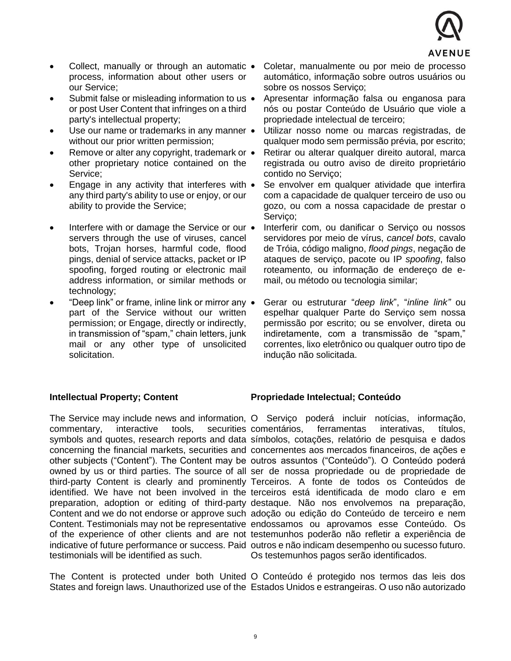

- Collect, manually or through an automatic process, information about other users or our Service;
- Submit false or misleading information to us or post User Content that infringes on a third party's intellectual property;
- Use our name or trademarks in any manner without our prior written permission;
- Remove or alter any copyright, trademark or  $\bullet$ other proprietary notice contained on the Service;
- Engage in any activity that interferes with any third party's ability to use or enjoy, or our ability to provide the Service;
- Interfere with or damage the Service or our  $\bullet$ servers through the use of viruses, cancel bots, Trojan horses, harmful code, flood pings, denial of service attacks, packet or IP spoofing, forged routing or electronic mail address information, or similar methods or technology;
- "Deep link" or frame, inline link or mirror any part of the Service without our written permission; or Engage, directly or indirectly, in transmission of "spam," chain letters, junk mail or any other type of unsolicited solicitation.
- Coletar, manualmente ou por meio de processo automático, informação sobre outros usuários ou sobre os nossos Serviço;
- Apresentar informação falsa ou enganosa para nós ou postar Conteúdo de Usuário que viole a propriedade intelectual de terceiro;
- Utilizar nosso nome ou marcas registradas, de qualquer modo sem permissão prévia, por escrito;
- Retirar ou alterar qualquer direito autoral, marca registrada ou outro aviso de direito proprietário contido no Serviço;
- Se envolver em qualquer atividade que interfira com a capacidade de qualquer terceiro de uso ou gozo, ou com a nossa capacidade de prestar o Serviço;
- Interferir com, ou danificar o Serviço ou nossos servidores por meio de vírus, *cancel bots*, cavalo de Tróia, código maligno, *flood pings*, negação de ataques de serviço, pacote ou IP *spoofing*, falso roteamento, ou informação de endereço de email, ou método ou tecnologia similar;
- Gerar ou estruturar "*deep link*", "*inline link"* ou espelhar qualquer Parte do Serviço sem nossa permissão por escrito; ou se envolver, direta ou indiretamente, com a transmissão de "spam," correntes, lixo eletrônico ou qualquer outro tipo de indução não solicitada.

#### **Intellectual Property; Content**

commentary, interactive tools, testimonials will be identified as such.

**Propriedade Intelectual; Conteúdo** 

The Service may include news and information, O Serviço poderá incluir notícias, informação, symbols and quotes, research reports and data símbolos, cotações, relatório de pesquisa e dados concerning the financial markets, securities and concernentes aos mercados financeiros, de ações e other subjects ("Content"). The Content may be outros assuntos ("Conteúdo"). O Conteúdo poderá owned by us or third parties. The source of all ser de nossa propriedade ou de propriedade de third-party Content is clearly and prominently Terceiros. A fonte de todos os Conteúdos de identified. We have not been involved in the terceiros está identificada de modo claro e em preparation, adoption or editing of third-party destaque. Não nos envolvemos na preparação, Content and we do not endorse or approve such adoção ou edição do Conteúdo de terceiro e nem Content. Testimonials may not be representative endossamos ou aprovamos esse Conteúdo. Os of the experience of other clients and are not testemunhos poderão não refletir a experiência de indicative of future performance or success. Paid outros e não indicam desempenho ou sucesso futuro. securities comentários, ferramentas interativas, títulos, Os testemunhos pagos serão identificados.

The Content is protected under both United O Conteúdo é protegido nos termos das leis dos States and foreign laws. Unauthorized use of the Estados Unidos e estrangeiras. O uso não autorizado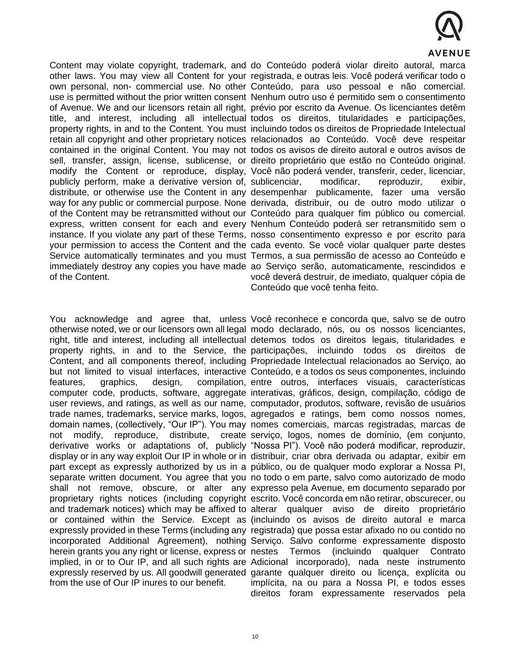

Content may violate copyright, trademark, and do Conteúdo poderá violar direito autoral, marca of the Content.

herein grants you any right or license, express or nestes Termos from the use of Our IP inures to our benefit.

other laws. You may view all Content for your registrada, e outras leis. Você poderá verificar todo o own personal, non- commercial use. No other Conteúdo, para uso pessoal e não comercial. use is permitted without the prior written consent Nenhum outro uso é permitido sem o consentimento of Avenue. We and our licensors retain all right, prévio por escrito da Avenue. Os licenciantes detêm title, and interest, including all intellectual todos os direitos, titularidades e participações, property rights, in and to the Content. You must incluindo todos os direitos de Propriedade Intelectual retain all copyright and other proprietary notices relacionados ao Conteúdo. Você deve respeitar contained in the original Content. You may not todos os avisos de direito autoral e outros avisos de sell, transfer, assign, license, sublicense, or direito proprietário que estão no Conteúdo original. modify the Content or reproduce, display, Você não poderá vender, transferir, ceder, licenciar, publicly perform, make a derivative version of, sublicenciar, modificar, reproduzir, exibir, distribute, or otherwise use the Content in any desempenhar publicamente, fazer uma versão way for any public or commercial purpose. None derivada, distribuir, ou de outro modo utilizar o of the Content may be retransmitted without our Conteúdo para qualquer fim público ou comercial. express, written consent for each and every Nenhum Conteúdo poderá ser retransmitido sem o instance. If you violate any part of these Terms, nosso consentimento expresso e por escrito para your permission to access the Content and the cada evento. Se você violar qualquer parte destes Service automatically terminates and you must Termos, a sua permissão de acesso ao Conteúdo e immediately destroy any copies you have made ao Serviço serão, automaticamente, rescindidos e você deverá destruir, de imediato, qualquer cópia de Conteúdo que você tenha feito.

You acknowledge and agree that, unless Você reconhece e concorda que, salvo se de outro otherwise noted, we or our licensors own all legal modo declarado, nós, ou os nossos licenciantes, right, title and interest, including all intellectual detemos todos os direitos legais, titularidades e property rights, in and to the Service, the participações, incluindo todos os direitos de Content, and all components thereof, including Propriedade Intelectual relacionados ao Serviço, ao but not limited to visual interfaces, interactive Conteúdo, e a todos os seus componentes, incluindo features, graphics, design, compilation, entre outros, interfaces visuais, características computer code, products, software, aggregate interativas, gráficos, design, compilação, código de user reviews, and ratings, as well as our name, computador, produtos, software, revisão de usuários trade names, trademarks, service marks, logos, agregados e ratings, bem como nossos nomes, domain names, (collectively, "Our IP"). You may nomes comerciais, marcas registradas, marcas de not modify, reproduce, distribute, create serviço, logos, nomes de domínio, (em conjunto, derivative works or adaptations of, publicly "Nossa PI"). Você não poderá modificar, reproduzir, display or in any way exploit Our IP in whole or in distribuir, criar obra derivada ou adaptar, exibir em part except as expressly authorized by us in a público, ou de qualquer modo explorar a Nossa PI, separate written document. You agree that you no todo o em parte, salvo como autorizado de modo shall not remove, obscure, or alter any expresso pela Avenue, em documento separado por proprietary rights notices (including copyright escrito. Você concorda em não retirar, obscurecer, ou and trademark notices) which may be affixed to alterar qualquer aviso de direito proprietário or contained within the Service. Except as (incluindo os avisos de direito autoral e marca expressly provided in these Terms (including any registrada) que possa estar afixado no ou contido no incorporated Additional Agreement), nothing Serviço. Salvo conforme expressamente disposto implied, in or to Our IP, and all such rights are Adicional incorporado), nada neste instrumento expressly reserved by us. All goodwill generated garante qualquer direito ou licença, explícita ou (incluindo qualquer Contrato implícita, na ou para a Nossa PI, e todos esses direitos foram expressamente reservados pela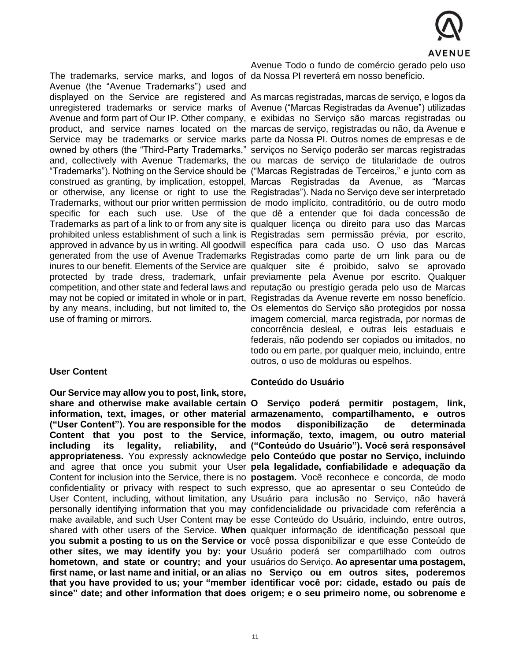

The trademarks, service marks, and logos of da Nossa PI reverterá em nosso benefício. Avenue (the "Avenue Trademarks") used and use of framing or mirrors.

#### **User Content**

**Our Service may allow you to post, link, store, ("User Content"). You are responsible for the**  including its legality, reliability,

Avenue Todo o fundo de comércio gerado pelo uso

displayed on the Service are registered and As marcas registradas, marcas de serviço, e logos da unregistered trademarks or service marks of Avenue ("Marcas Registradas da Avenue") utilizadas Avenue and form part of Our IP. Other company, e exibidas no Serviço são marcas registradas ou product, and service names located on the marcas de serviço, registradas ou não, da Avenue e Service may be trademarks or service marks parte da Nossa PI. Outros nomes de empresas e de owned by others (the "Third-Party Trademarks," serviços no Serviço poderão ser marcas registradas and, collectively with Avenue Trademarks, the ou marcas de serviço de titularidade de outros "Trademarks"). Nothing on the Service should be ("Marcas Registradas de Terceiros," e junto com as construed as granting, by implication, estoppel, Marcas Registradas da Avenue, as "Marcas or otherwise, any license or right to use the Registradas"). Nada no Serviço deve ser interpretado Trademarks, without our prior written permission de modo implícito, contraditório, ou de outro modo specific for each such use. Use of the que dê a entender que foi dada concessão de Trademarks as part of a link to or from any site is qualquer licença ou direito para uso das Marcas prohibited unless establishment of such a link is Registradas sem permissão prévia, por escrito, approved in advance by us in writing. All goodwill específica para cada uso. O uso das Marcas generated from the use of Avenue Trademarks Registradas como parte de um link para ou de inures to our benefit. Elements of the Service are qualquer site é proibido, salvo se aprovado protected by trade dress, trademark, unfair previamente pela Avenue por escrito. Qualquer competition, and other state and federal laws and reputação ou prestígio gerada pelo uso de Marcas may not be copied or imitated in whole or in part, Registradas da Avenue reverte em nosso benefício. by any means, including, but not limited to, the Os elementos do Serviço são protegidos por nossa imagem comercial, marca registrada, por normas de concorrência desleal, e outras leis estaduais e federais, não podendo ser copiados ou imitados, no todo ou em parte, por qualquer meio, incluindo, entre outros, o uso de molduras ou espelhos.

#### **Conteúdo do Usuário**

**share and otherwise make available certain O Serviço poderá permitir postagem, link, information, text, images, or other material armazenamento, compartilhamento, e outros** Content that you post to the Service, informação, texto, imagem, ou outro material **appropriateness.** You expressly acknowledge **pelo Conteúdo que postar no Serviço, incluindo**  and agree that once you submit your User **pela legalidade, confiabilidade e adequação da**  Content for inclusion into the Service, there is no **postagem.** Você reconhece e concorda, de modo confidentiality or privacy with respect to such expresso, que ao apresentar o seu Conteúdo de User Content, including, without limitation, any Usuário para inclusão no Serviço, não haverá personally identifying information that you may confidencialidade ou privacidade com referência a make available, and such User Content may be esse Conteúdo do Usuário, incluindo, entre outros, shared with other users of the Service. **When**  qualquer informação de identificação pessoal que **you submit a posting to us on the Service or**  você possa disponibilizar e que esse Conteúdo de **other sites, we may identify you by: your**  Usuário poderá ser compartilhado com outros **hometown, and state or country; and your** usuários do Serviço. Ao apresentar uma postagem, first name, or last name and initial, or an alias no Serviço ou em outros sites, poderemos that you have provided to us; your "member identificar você por: cidade, estado ou país de **since" date; and other information that does origem; e o seu primeiro nome, ou sobrenome e modos disponibilização de determinada ("Conteúdo do Usuário"). Você será responsável**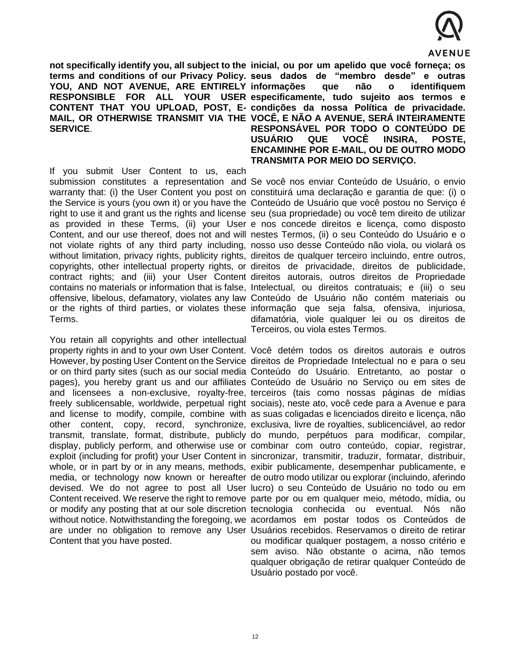

**not specifically identify you, all subject to the inicial, ou por um apelido que você forneça; os SERVICE**.

If you submit User Content to us, each Terms.

You retain all copyrights and other intellectual Content that you have posted.

**terms and conditions of our Privacy Policy. seus dados de "membro desde" e outras YOU, AND NOT AVENUE, ARE ENTIRELY informações que não o identifiquem RESPONSIBLE FOR ALL YOUR USER especificamente, tudo sujeito aos termos e**  CONTENT THAT YOU UPLOAD, POST, E- condições da nossa Política de privacidade. **MAIL, OR OTHERWISE TRANSMIT VIA THE VOCÊ, E NÃO A AVENUE, SERÁ INTEIRAMENTE RESPONSÁVEL POR TODO O CONTEÚDO DE USUÁRIO QUE VOCÊ INSIRA, POSTE, ENCAMINHE POR E-MAIL, OU DE OUTRO MODO TRANSMITA POR MEIO DO SERVIÇO.** 

submission constitutes a representation and Se você nos enviar Conteúdo de Usuário, o envio warranty that: (i) the User Content you post on constituirá uma declaração e garantia de que: (i) o the Service is yours (you own it) or you have the Conteúdo de Usuário que você postou no Serviço é right to use it and grant us the rights and license seu (sua propriedade) ou você tem direito de utilizar as provided in these Terms, (ii) your User e nos concede direitos e licença, como disposto Content, and our use thereof, does not and will nestes Termos, (ii) o seu Conteúdo do Usuário e o not violate rights of any third party including, nosso uso desse Conteúdo não viola, ou violará os without limitation, privacy rights, publicity rights, direitos de qualquer terceiro incluindo, entre outros, copyrights, other intellectual property rights, or direitos de privacidade, direitos de publicidade, contract rights; and (iii) your User Content direitos autorais, outros direitos de Propriedade contains no materials or information that is false, Intelectual, ou direitos contratuais; e (iii) o seu offensive, libelous, defamatory, violates any law Conteúdo de Usuário não contém materiais ou or the rights of third parties, or violates these informação que seja falsa, ofensiva, injuriosa, difamatória, viole qualquer lei ou os direitos de Terceiros, ou viola estes Termos.

property rights in and to your own User Content. Você detém todos os direitos autorais e outros However, by posting User Content on the Service direitos de Propriedade Intelectual no e para o seu or on third party sites (such as our social media Conteúdo do Usuário. Entretanto, ao postar o pages), you hereby grant us and our affiliates Conteúdo de Usuário no Serviço ou em sites de and licensees a non-exclusive, royalty-free, terceiros (tais como nossas páginas de mídias freely sublicensable, worldwide, perpetual right sociais), neste ato, você cede para a Avenue e para and license to modify, compile, combine with as suas coligadas e licenciados direito e licença, não other content, copy, record, synchronize, exclusiva, livre de royalties, sublicenciável, ao redor transmit, translate, format, distribute, publicly do mundo, perpétuos para modificar, compilar, display, publicly perform, and otherwise use or combinar com outro conteúdo, copiar, registrar, exploit (including for profit) your User Content in sincronizar, transmitir, traduzir, formatar, distribuir, whole, or in part by or in any means, methods, exibir publicamente, desempenhar publicamente, e media, or technology now known or hereafter de outro modo utilizar ou explorar (incluindo, aferindo devised. We do not agree to post all User lucro) o seu Conteúdo de Usuário no todo ou em Content received. We reserve the right to remove parte por ou em qualquer meio, método, mídia, ou or modify any posting that at our sole discretion tecnologia conhecida ou eventual. Nós não without notice. Notwithstanding the foregoing, we acordamos em postar todos os Conteúdos de are under no obligation to remove any User Usuários recebidos. Reservamos o direito de retirar ou modificar qualquer postagem, a nosso critério e sem aviso. Não obstante o acima, não temos qualquer obrigação de retirar qualquer Conteúdo de Usuário postado por você.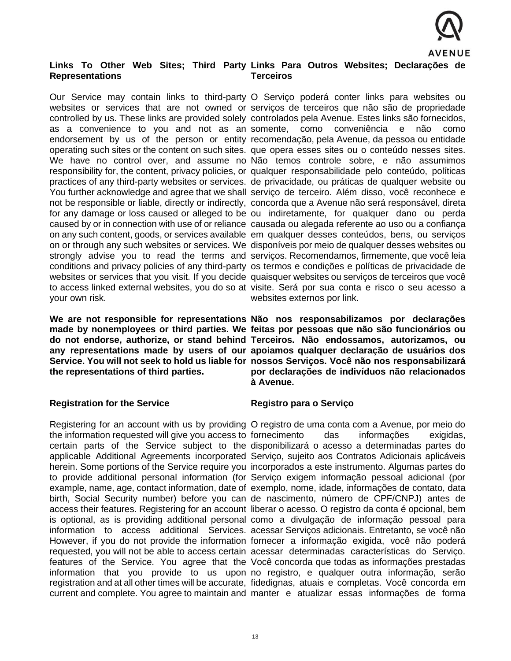

#### **Links To Other Web Sites; Third Party Links Para Outros Websites; Declarações de Representations Terceiros**

your own risk.

**the representations of third parties.**

#### **Registration for the Service**

Our Service may contain links to third-party O Serviço poderá conter links para websites ou websites or services that are not owned or serviços de terceiros que não são de propriedade controlled by us. These links are provided solely controlados pela Avenue. Estes links são fornecidos, as a convenience to you and not as an somente, como conveniência e não como endorsement by us of the person or entity recomendação, pela Avenue, da pessoa ou entidade operating such sites or the content on such sites. que opera esses sites ou o conteúdo nesses sites. We have no control over, and assume no Não temos controle sobre, e não assumimos responsibility for, the content, privacy policies, or qualquer responsabilidade pelo conteúdo, políticas practices of any third-party websites or services. de privacidade, ou práticas de qualquer website ou You further acknowledge and agree that we shall serviço de terceiro. Além disso, você reconhece e not be responsible or liable, directly or indirectly, concorda que a Avenue não será responsável, direta for any damage or loss caused or alleged to be ou indiretamente, for qualquer dano ou perda caused by or in connection with use of or reliance causada ou alegada referente ao uso ou a confiança on any such content, goods, or services available em qualquer desses conteúdos, bens, ou serviços on or through any such websites or services. We disponíveis por meio de qualquer desses websites ou strongly advise you to read the terms and serviços. Recomendamos, firmemente, que você leia conditions and privacy policies of any third-party os termos e condições e políticas de privacidade de websites or services that you visit. If you decide quaisquer websites ou serviços de terceiros que você to access linked external websites, you do so at visite. Será por sua conta e risco o seu acesso a websites externos por link.

We are not responsible for representations Não nos responsabilizamos por declarações **made by nonemployees or third parties. We feitas por pessoas que não são funcionários ou do not endorse, authorize, or stand behind Terceiros. Não endossamos, autorizamos, ou any representations made by users of our apoiamos qualquer declaração de usuários dos**  Service. You will not seek to hold us liable for nossos Serviços. Você não nos responsabilizará **por declarações de indivíduos não relacionados à Avenue.** 

#### **Registro para o Serviço**

Registering for an account with us by providing O registro de uma conta com a Avenue, por meio do the information requested will give you access to fornecimento das informações exigidas, certain parts of the Service subject to the disponibilizará o acesso a determinadas partes do applicable Additional Agreements incorporated Serviço, sujeito aos Contratos Adicionais aplicáveis herein. Some portions of the Service require you incorporados a este instrumento. Algumas partes do to provide additional personal information (for Serviço exigem informação pessoal adicional (por example, name, age, contact information, date of exemplo, nome, idade, informações de contato, data birth, Social Security number) before you can de nascimento, número de CPF/CNPJ) antes de access their features. Registering for an account liberar o acesso. O registro da conta é opcional, bem is optional, as is providing additional personal como a divulgação de informação pessoal para information to access additional Services. acessar Serviços adicionais. Entretanto, se você não However, if you do not provide the information fornecer a informação exigida, você não poderá requested, you will not be able to access certain acessar determinadas características do Serviço. features of the Service. You agree that the Você concorda que todas as informações prestadas information that you provide to us upon no registro, e qualquer outra informação, serão registration and at all other times will be accurate, fidedignas, atuais e completas. Você concorda em current and complete. You agree to maintain and manter e atualizar essas informações de forma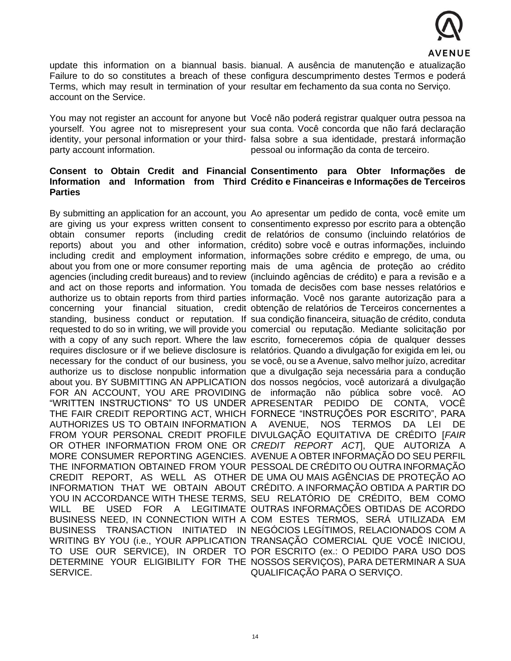

update this information on a biannual basis. bianual. A ausência de manutenção e atualização Failure to do so constitutes a breach of these configura descumprimento destes Termos e poderá Terms, which may result in termination of your resultar em fechamento da sua conta no Serviço. account on the Service.

party account information.

You may not register an account for anyone but Você não poderá registrar qualquer outra pessoa na yourself. You agree not to misrepresent your sua conta. Você concorda que não fará declaração identity, your personal information or your third-falsa sobre a sua identidade, prestará informação pessoal ou informação da conta de terceiro.

## **Consent to Obtain Credit and Financial Consentimento para Obter Informações de Information and Information from Third Crédito e Financeiras e Informações de Terceiros Parties**

AUTHORIZES US TO OBTAIN INFORMATION SERVICE.

By submitting an application for an account, you Ao apresentar um pedido de conta, você emite um are giving us your express written consent to consentimento expresso por escrito para a obtenção obtain consumer reports (including credit de relatórios de consumo (incluindo relatórios de reports) about you and other information, crédito) sobre você e outras informações, incluindo including credit and employment information, informações sobre crédito e emprego, de uma, ou about you from one or more consumer reporting mais de uma agência de proteção ao crédito agencies (including credit bureaus) and to review (incluindo agências de crédito) e para a revisão e a and act on those reports and information. You tomada de decisões com base nesses relatórios e authorize us to obtain reports from third parties informação. Você nos garante autorização para a concerning your financial situation, credit obtenção de relatórios de Terceiros concernentes a standing, business conduct or reputation. If sua condição financeira, situação de crédito, conduta requested to do so in writing, we will provide you comercial ou reputação. Mediante solicitação por with a copy of any such report. Where the law escrito, forneceremos cópia de qualquer desses requires disclosure or if we believe disclosure is relatórios. Quando a divulgação for exigida em lei, ou necessary for the conduct of our business, you se você, ou se a Avenue, salvo melhor juízo, acreditar authorize us to disclose nonpublic information que a divulgação seja necessária para a condução about you. BY SUBMITTING AN APPLICATION dos nossos negócios, você autorizará a divulgação FOR AN ACCOUNT, YOU ARE PROVIDING de informação não pública sobre você. AO "WRITTEN INSTRUCTIONS" TO US UNDER APRESENTAR PEDIDO DE CONTA, VOCÊ THE FAIR CREDIT REPORTING ACT, WHICH FORNECE "INSTRUÇÕES POR ESCRITO", PARA FROM YOUR PERSONAL CREDIT PROFILE DIVULGAÇÃO EQUITATIVA DE CRÉDITO [*FAIR*  OR OTHER INFORMATION FROM ONE OR *CREDIT REPORT ACT*], QUE AUTORIZA A MORE CONSUMER REPORTING AGENCIES. AVENUE A OBTER INFORMAÇÃO DO SEU PERFIL THE INFORMATION OBTAINED FROM YOUR PESSOAL DE CRÉDITO OU OUTRA INFORMAÇÃO CREDIT REPORT, AS WELL AS OTHER DE UMA OU MAIS AGÊNCIAS DE PROTEÇÃO AO INFORMATION THAT WE OBTAIN ABOUT CRÉDITO. A INFORMAÇÃO OBTIDA A PARTIR DO YOU IN ACCORDANCE WITH THESE TERMS, SEU RELATÓRIO DE CRÉDITO, BEM COMO WILL BE USED FOR A LEGITIMATE OUTRAS INFORMAÇÕES OBTIDAS DE ACORDO BUSINESS NEED, IN CONNECTION WITH A COM ESTES TERMOS, SERÁ UTILIZADA EM BUSINESS TRANSACTION INITIATED IN NEGÓCIOS LEGÍTIMOS, RELACIONADOS COM A WRITING BY YOU (i.e., YOUR APPLICATION TRANSAÇÃO COMERCIAL QUE VOCÊ INICIOU, TO USE OUR SERVICE), IN ORDER TO POR ESCRITO (ex.: O PEDIDO PARA USO DOS DETERMINE YOUR ELIGIBILITY FOR THE NOSSOS SERVIÇOS), PARA DETERMINAR A SUA A AVENUE, NOS TERMOS DA LEI DE QUALIFICAÇÃO PARA O SERVIÇO.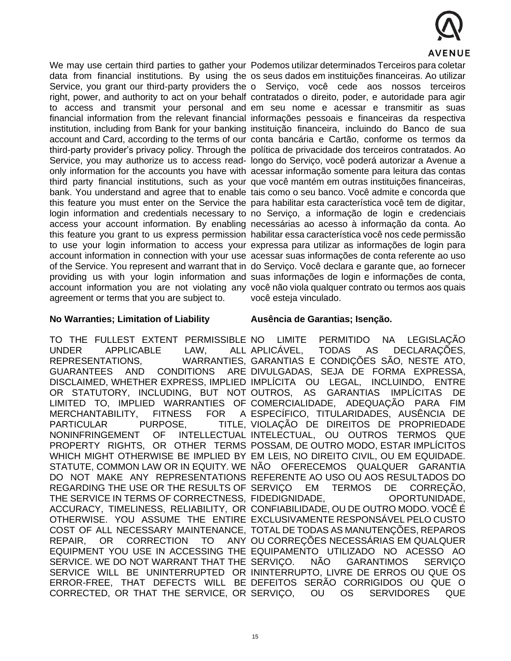

agreement or terms that you are subject to.

We may use certain third parties to gather your Podemos utilizar determinados Terceiros para coletar data from financial institutions. By using the os seus dados em instituições financeiras. Ao utilizar Service, you grant our third-party providers the o Serviço, você cede aos nossos terceiros right, power, and authority to act on your behalf contratados o direito, poder, e autoridade para agir to access and transmit your personal and em seu nome e acessar e transmitir as suas financial information from the relevant financial informações pessoais e financeiras da respectiva institution, including from Bank for your banking instituição financeira, incluindo do Banco de sua account and Card, according to the terms of our conta bancária e Cartão, conforme os termos da third-party provider's privacy policy. Through the política de privacidade dos terceiros contratados. Ao Service, you may authorize us to access read-longo do Serviço, você poderá autorizar a Avenue a only information for the accounts you have with acessar informação somente para leitura das contas third party financial institutions, such as your que você mantém em outras instituições financeiras, bank. You understand and agree that to enable tais como o seu banco. Você admite e concorda que this feature you must enter on the Service the para habilitar esta característica você tem de digitar, login information and credentials necessary to no Serviço, a informação de login e credenciais access your account information. By enabling necessárias ao acesso à informação da conta. Ao this feature you grant to us express permission habilitar essa característica você nos cede permissão to use your login information to access your expressa para utilizar as informações de login para account information in connection with your use acessar suas informações de conta referente ao uso of the Service. You represent and warrant that in do Serviço. Você declara e garante que, ao fornecer providing us with your login information and suas informações de login e informações de conta, account information you are not violating any você não viola qualquer contrato ou termos aos quais você esteja vinculado.

## **No Warranties; Limitation of Liability**

TO THE FULLEST EXTENT PERMISSIBLE NO UNDER APPLICABLE LAW, ALL REPRESENTATIONS. GUARANTEES AND CONDITIONS MERCHANTABILITY, FITNESS FOR A PARTICULAR PURPOSE. NONINFRINGEMENT OF REGARDING THE USE OR THE RESULTS OF REPAIR, OR CORRECTION TO SERVICE. WE DO NOT WARRANT THAT THE SERVICO. CORRECTED, OR THAT THE SERVICE, OR

#### **Ausência de Garantias; Isenção.**

DISCLAIMED, WHETHER EXPRESS, IMPLIED IMPLÍCITA OU LEGAL, INCLUINDO, ENTRE OR STATUTORY, INCLUDING, BUT NOT-OUTROS, AS GARANTIAS IMPLÍCITAS DE LIMITED TO, IMPLIED WARRANTIES OF COMERCIALIDADE, ADEQUAÇÃO PARA FIM PROPERTY RIGHTS, OR OTHER TERMS POSSAM, DE OUTRO MODO, ESTAR IMPLÍCITOS WHICH MIGHT OTHERWISE BE IMPLIED BY EM LEIS, NO DIREITO CIVIL, OU EM EQUIDADE. STATUTE, COMMON LAW OR IN EQUITY. WE NÃO OFERECEMOS QUALQUER GARANTIA DO NOT MAKE ANY REPRESENTATIONS REFERENTE AO USO OU AOS RESULTADOS DO THE SERVICE IN TERMS OF CORRECTNESS, FIDEDIGNIDADE, OPORTUNIDADE, ACCURACY, TIMELINESS, RELIABILITY, OR CONFIABILIDADE, OU DE OUTRO MODO. VOCÊ É OTHERWISE. YOU ASSUME THE ENTIRE EXCLUSIVAMENTE RESPONSÁVEL PELO CUSTO COST OF ALL NECESSARY MAINTENANCE, TOTAL DE TODAS AS MANUTENÇÕES, REPAROS EQUIPMENT YOU USE IN ACCESSING THE EQUIPAMENTO UTILIZADO NO ACESSO AO SERVICE WILL BE UNINTERRUPTED OR ININTERRUPTO, LIVRE DE ERROS OU QUE OS ERROR-FREE, THAT DEFECTS WILL BE DEFEITOS SERÃO CORRIGIDOS OU QUE O LIMITE PERMITIDO NA LEGISLAÇÃO TODAS AS DECLARAÇÕES. WARRANTIES, GARANTIAS E CONDIÇÕES SÃO, NESTE ATO, ARE DIVULGADAS, SEJA DE FORMA EXPRESSA, ESPECÍFICO, TITULARIDADES, AUSÊNCIA DE VIOLAÇÃO DE DIREITOS DE PROPRIEDADE INTELECTUAL, OU OUTROS TERMOS QUE EM TERMOS DE CORREÇÃO. ANY OU CORREÇÕES NECESSÁRIAS EM QUALQUER NÃO GARANTIMOS SERVIÇO OU OS SERVIDORES QUE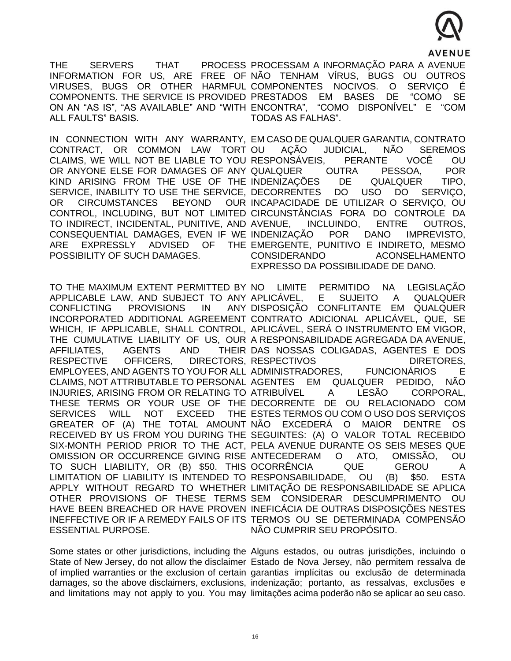

THE SERVERS THAT PROCESS PROCESSAM A INFORMAÇÃO PARA A AVENUE INFORMATION FOR US, ARE FREE OF NÃO TENHAM VÍRUS, BUGS OU OUTROS VIRUSES, BUGS OR OTHER HARMFUL COMPONENTES NOCIVOS. O SERVIÇO É COMPONENTS. THE SERVICE IS PROVIDED PRESTADOS EM BASES DE "COMO SE ON AN "AS IS", "AS AVAILABLE" AND "WITH ENCONTRA", "COMO DISPONÍVEL" E "COM ALL FAULTS" BASIS. TODAS AS FALHAS".

CONTRACT, OR COMMON LAW TORT OR CIRCUMSTANCES BEYOND TO INDIRECT, INCIDENTAL, PUNITIVE, AND ARE EXPRESSLY ADVISED OF POSSIBILITY OF SUCH DAMAGES.

TO THE MAXIMUM EXTENT PERMITTED BY CONFLICTING PROVISIONS IN AFFILIATES. AGENTS AND SERVICES WILL NOT EXCEED ESSENTIAL PURPOSE.

IN CONNECTION WITH ANY WARRANTY, EM CASO DE QUALQUER GARANTIA, CONTRATO CLAIMS, WE WILL NOT BE LIABLE TO YOU RESPONSÁVEIS, PERANTE VOCÊ OU OR ANYONE ELSE FOR DAMAGES OF ANY QUALQUER OUTRA PESSOA, POR KIND ARISING FROM THE USE OF THE INDENIZAÇÕES DE QUALQUER TIPO, SERVICE, INABILITY TO USE THE SERVICE, DECORRENTES DO USO DO SERVIÇO, CONTROL, INCLUDING, BUT NOT LIMITED CIRCUNSTÂNCIAS FORA DO CONTROLE DA CONSEQUENTIAL DAMAGES, EVEN IF WE INDENIZAÇÃO POR DANO IMPREVISTO, AÇÃO JUDICIAL, NÃO SEREMOS OUR INCAPACIDADE DE UTILIZAR O SERVIÇO, OU INCLUINDO, ENTRE OUTROS, THE EMERGENTE, PUNITIVO E INDIRETO, MESMO CONSIDERANDO ACONSELHAMENTO EXPRESSO DA POSSIBILIDADE DE DANO.

APPLICABLE LAW, AND SUBJECT TO ANY APLICÁVEL, E SUJEITO A QUALQUER INCORPORATED ADDITIONAL AGREEMENT CONTRATO ADICIONAL APLICÁVEL, QUE, SE WHICH, IF APPLICABLE, SHALL CONTROL, APLICÁVEL, SERÁ O INSTRUMENTO EM VIGOR, THE CUMULATIVE LIABILITY OF US, OUR A RESPONSABILIDADE AGREGADA DA AVENUE, RESPECTIVE OFFICERS, DIRECTORS, RESPECTIVOS DIRETORES, EMPLOYEES, AND AGENTS TO YOU FOR ALL ADMINISTRADORES, FUNCIONÁRIOS E CLAIMS, NOT ATTRIBUTABLE TO PERSONAL AGENTES EM QUALQUER PEDIDO, NÃO INJURIES, ARISING FROM OR RELATING TO ATRIBUÍVEL A LESÃO CORPORAL, THESE TERMS OR YOUR USE OF THE DECORRENTE DE OU RELACIONADO COM GREATER OF (A) THE TOTAL AMOUNT NÃO EXCEDERÁ O MAIOR DENTRE OS RECEIVED BY US FROM YOU DURING THE SEGUINTES: (A) O VALOR TOTAL RECEBIDO SIX-MONTH PERIOD PRIOR TO THE ACT, PELA AVENUE DURANTE OS SEIS MESES QUE OMISSION OR OCCURRENCE GIVING RISE ANTECEDERAM O ATO, OMISSÃO, OU TO SUCH LIABILITY, OR (B) \$50. THIS OCORRÊNCIA QUE GEROU A LIMITATION OF LIABILITY IS INTENDED TO RESPONSABILIDADE, OU (B) \$50. ESTA APPLY WITHOUT REGARD TO WHETHER LIMITAÇÃO DE RESPONSABILIDADE SE APLICA OTHER PROVISIONS OF THESE TERMS SEM CONSIDERAR DESCUMPRIMENTO OU HAVE BEEN BREACHED OR HAVE PROVEN INEFICÁCIA DE OUTRAS DISPOSIÇÕES NESTES INEFFECTIVE OR IF A REMEDY FAILS OF ITS TERMOS OU SE DETERMINADA COMPENSÃO PERMITIDO NA LEGISLAÇÃO ANY DISPOSIÇÃO CONFLITANTE EM QUALQUER THEIR DAS NOSSAS COLIGADAS, AGENTES E DOS THE ESTES TERMOS OU COM O USO DOS SERVICOS NÃO CUMPRIR SEU PROPÓSITO.

Some states or other jurisdictions, including the Alguns estados, ou outras jurisdições, incluindo o State of New Jersey, do not allow the disclaimer Estado de Nova Jersey, não permitem ressalva de of implied warranties or the exclusion of certain garantias implícitas ou exclusão de determinada damages, so the above disclaimers, exclusions, indenização; portanto, as ressalvas, exclusões e and limitations may not apply to you. You may limitações acima poderão não se aplicar ao seu caso.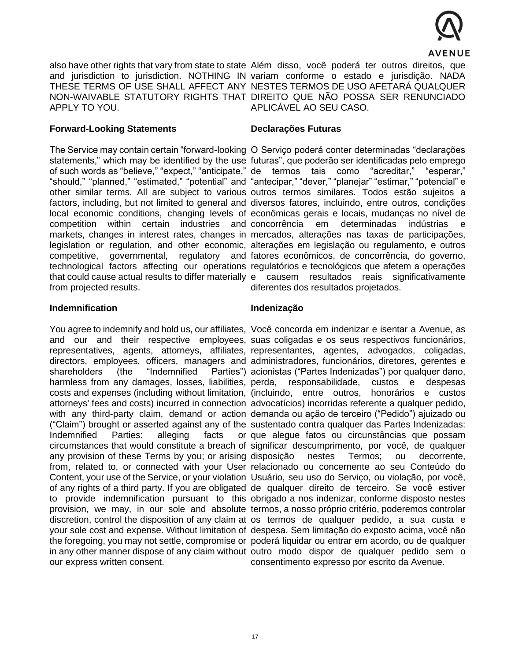

APPLY TO YOU.

#### **Forward-Looking Statements**

from projected results.

#### **Indemnification**

shareholders (the "Indemnified Indemnified Parties: alleging facts our express written consent.

also have other rights that vary from state to state Além disso, você poderá ter outros direitos, que and jurisdiction to jurisdiction. NOTHING IN variam conforme o estado e jurisdição. NADA THESE TERMS OF USE SHALL AFFECT ANY NESTES TERMOS DE USO AFETARÁ QUALQUER NON-WAIVABLE STATUTORY RIGHTS THAT DIREITO QUE NÃO POSSA SER RENUNCIADO APLICÁVEL AO SEU CASO.

#### **Declarações Futuras**

The Service may contain certain "forward-looking O Serviço poderá conter determinadas "declarações statements," which may be identified by the use futuras", que poderão ser identificadas pelo emprego of such words as "believe," "expect," "anticipate," de termos tais como "acreditar," "esperar," "should," "planned," "estimated," "potential" and "antecipar," "dever," "planejar" "estimar," "potencial" e other similar terms. All are subject to various outros termos similares. Todos estão sujeitos a factors, including, but not limited to general and diversos fatores, incluindo, entre outros, condições local economic conditions, changing levels of econômicas gerais e locais, mudanças no nível de competition within certain industries and-concorrência em determinadas indústrias e markets, changes in interest rates, changes in mercados, alterações nas taxas de participações, legislation or regulation, and other economic, alterações em legislação ou regulamento, e outros competitive, governmental, regulatory and fatores econômicos, de concorrência, do governo, technological factors affecting our operations regulatórios e tecnológicos que afetem a operações that could cause actual results to differ materially e causem resultados reais significativamente diferentes dos resultados projetados.

#### **Indenização**

You agree to indemnify and hold us, our affiliates, Você concorda em indenizar e isentar a Avenue, as and our and their respective employees, suas coligadas e os seus respectivos funcionários, representatives, agents, attorneys, affiliates, representantes, agentes, advogados, coligadas, directors, employees, officers, managers and administradores, funcionários, diretores, gerentes e harmless from any damages, losses, liabilities, perda, responsabilidade, custos e despesas costs and expenses (including without limitation, (incluindo, entre outros, honorários e custos attorneys' fees and costs) incurred in connection advocatícios) incorridas referente a qualquer pedido, with any third-party claim, demand or action demanda ou ação de terceiro ("Pedido") ajuizado ou ("Claim") brought or asserted against any of the sustentado contra qualquer das Partes Indenizadas: circumstances that would constitute a breach of significar descumprimento, por você, de qualquer any provision of these Terms by you; or arising disposição nestes Termos; ou decorrente, from, related to, or connected with your User relacionado ou concernente ao seu Conteúdo do Content, your use of the Service, or your violation Usuário, seu uso do Serviço, ou violação, por você, of any rights of a third party. If you are obligated de qualquer direito de terceiro. Se você estiver to provide indemnification pursuant to this obrigado a nos indenizar, conforme disposto nestes provision, we may, in our sole and absolute termos, a nosso próprio critério, poderemos controlar discretion, control the disposition of any claim at os termos de qualquer pedido, a sua custa e your sole cost and expense. Without limitation of despesa. Sem limitação do exposto acima, você não the foregoing, you may not settle, compromise or poderá liquidar ou entrar em acordo, ou de qualquer in any other manner dispose of any claim without outro modo dispor de qualquer pedido sem o Parties") acionistas ("Partes Indenizadas") por qualquer dano, que alegue fatos ou circunstâncias que possam consentimento expresso por escrito da Avenue.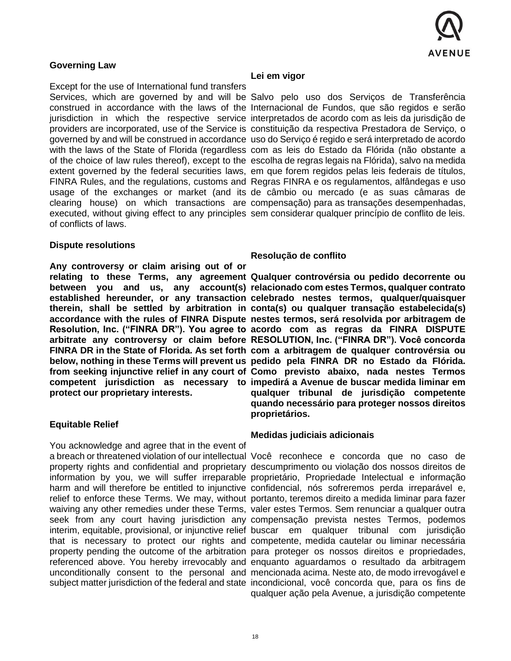

## **Governing Law**

Except for the use of International fund transfers of conflicts of laws.

#### **Dispute resolutions**

**Any controversy or claim arising out of or protect our proprietary interests.**

#### **Equitable Relief**

You acknowledge and agree that in the event of

#### **Lei em vigor**

Services, which are governed by and will be Salvo pelo uso dos Serviços de Transferência construed in accordance with the laws of the Internacional de Fundos, que são regidos e serão jurisdiction in which the respective service interpretados de acordo com as leis da jurisdição de providers are incorporated, use of the Service is constituição da respectiva Prestadora de Serviço, o governed by and will be construed in accordance uso do Serviço é regido e será interpretado de acordo with the laws of the State of Florida (regardless com as leis do Estado da Flórida (não obstante a of the choice of law rules thereof), except to the escolha de regras legais na Flórida), salvo na medida extent governed by the federal securities laws, em que forem regidos pelas leis federais de títulos, FINRA Rules, and the regulations, customs and Regras FINRA e os regulamentos, alfândegas e uso usage of the exchanges or market (and its de câmbio ou mercado (e as suas câmaras de clearing house) on which transactions are compensação) para as transações desempenhadas, executed, without giving effect to any principles sem considerar qualquer princípio de conflito de leis.

#### **Resolução de conflito**

**relating to these Terms, any agreement Qualquer controvérsia ou pedido decorrente ou between you and us, any account(s) relacionado com estes Termos, qualquer contrato established hereunder, or any transaction celebrado nestes termos, qualquer/quaisquer therein, shall be settled by arbitration in conta(s) ou qualquer transação estabelecida(s) accordance with the rules of FINRA Dispute nestes termos, será resolvida por arbitragem de Resolution, Inc. ("FINRA DR"). You agree to acordo com as regras da FINRA DISPUTE arbitrate any controversy or claim before RESOLUTION, Inc. ("FINRA DR"). Você concorda FINRA DR in the State of Florida. As set forth com a arbitragem de qualquer controvérsia ou below, nothing in these Terms will prevent us pedido pela FINRA DR no Estado da Flórida. from seeking injunctive relief in any court of Como previsto abaixo, nada nestes Termos**  competent jurisdiction as necessary to impedirá a Avenue de buscar medida liminar em **qualquer tribunal de jurisdição competente quando necessário para proteger nossos direitos proprietários.** 

#### **Medidas judiciais adicionais**

a breach or threatened violation of our intellectual Você reconhece e concorda que no caso de property rights and confidential and proprietary descumprimento ou violação dos nossos direitos de information by you, we will suffer irreparable proprietário, Propriedade Intelectual e informação harm and will therefore be entitled to injunctive confidencial, nós sofreremos perda irreparável e, relief to enforce these Terms. We may, without portanto, teremos direito a medida liminar para fazer waiving any other remedies under these Terms, valer estes Termos. Sem renunciar a qualquer outra seek from any court having jurisdiction any compensação prevista nestes Termos, podemos interim, equitable, provisional, or injunctive relief buscar em qualquer tribunal com jurisdição that is necessary to protect our rights and competente, medida cautelar ou liminar necessária property pending the outcome of the arbitration para proteger os nossos direitos e propriedades, referenced above. You hereby irrevocably and enquanto aguardamos o resultado da arbitragem unconditionally consent to the personal and mencionada acima. Neste ato, de modo irrevogável e subject matter jurisdiction of the federal and state incondicional, você concorda que, para os fins de qualquer ação pela Avenue, a jurisdição competente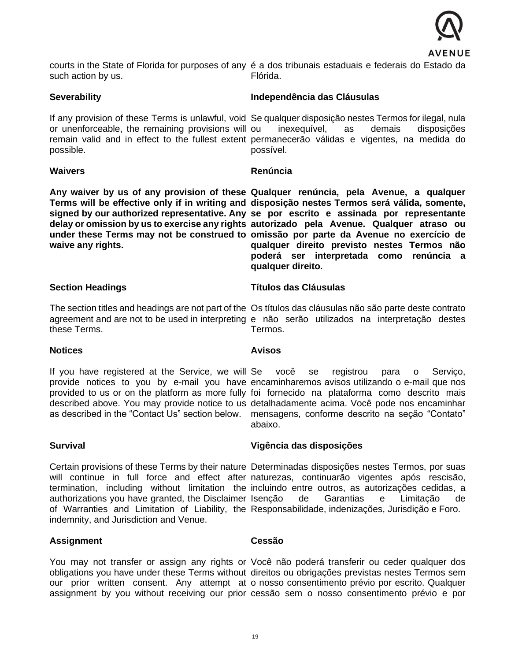

courts in the State of Florida for purposes of any é a dos tribunais estaduais e federais do Estado da such action by us. Flórida.

#### **Severability**

or unenforceable, the remaining provisions will possible.

#### **Waivers**

**waive any rights.** 

#### **Independência das Cláusulas**

If any provision of these Terms is unlawful, void Se qualquer disposição nestes Termos for ilegal, nula remain valid and in effect to the fullest extent permanecerão válidas e vigentes, na medida do inexequível, as demais disposições possível.

#### **Renúncia**

**Any waiver by us of any provision of these Qualquer renúncia, pela Avenue, a qualquer Terms will be effective only if in writing and disposição nestes Termos será válida, somente,**  signed by our authorized representative. Any se por escrito e assinada por representante **delay or omission by us to exercise any rights autorizado pela Avenue. Qualquer atraso ou under these Terms may not be construed to omissão por parte da Avenue no exercício de qualquer direito previsto nestes Termos não poderá ser interpretada como renúncia a qualquer direito.** 

#### **Section Headings**

The section titles and headings are not part of the Os títulos das cláusulas não são parte deste contrato agreement and are not to be used in interpreting e não serão utilizados na interpretação destes these Terms.

#### **Notices**

#### **Avisos**

Termos.

If you have registered at the Service, we will Se você se registrou para o Serviço, provide notices to you by e-mail you have encaminharemos avisos utilizando o e-mail que nos provided to us or on the platform as more fully foi fornecido na plataforma como descrito mais described above. You may provide notice to us detalhadamente acima. Você pode nos encaminhar as described in the "Contact Us" section below. mensagens, conforme descrito na seção "Contato" abaixo.

#### **Survival**

authorizations you have granted, the Disclaimer indemnity, and Jurisdiction and Venue.

# **Vigência das disposições**

**Títulos das Cláusulas**

Certain provisions of these Terms by their nature Determinadas disposições nestes Termos, por suas will continue in full force and effect after naturezas, continuarão vigentes após rescisão, termination, including without limitation the incluindo entre outros, as autorizações cedidas, a of Warranties and Limitation of Liability, the Responsabilidade, indenizações, Jurisdição e Foro. de Garantias e Limitação de

#### **Assignment**

#### **Cessão**

You may not transfer or assign any rights or Você não poderá transferir ou ceder qualquer dos obligations you have under these Terms without direitos ou obrigações previstas nestes Termos sem our prior written consent. Any attempt at o nosso consentimento prévio por escrito. Qualquer assignment by you without receiving our prior cessão sem o nosso consentimento prévio e por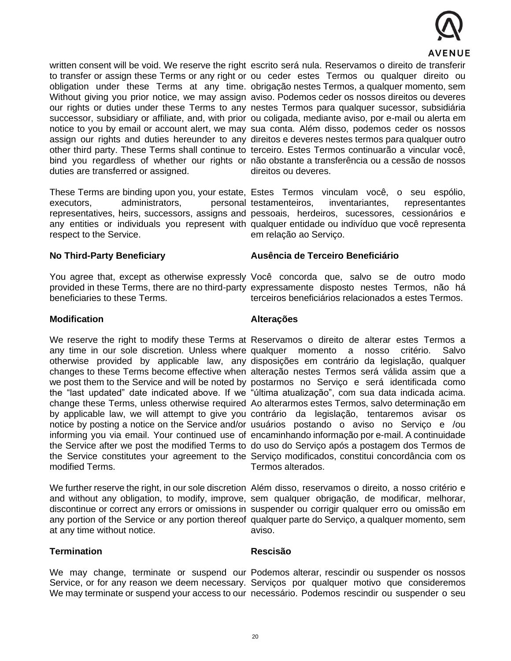

written consent will be void. We reserve the right escrito será nula. Reservamos o direito de transferir duties are transferred or assigned.

executors, administrators, respect to the Service.

to transfer or assign these Terms or any right or ou ceder estes Termos ou qualquer direito ou obligation under these Terms at any time. obrigação nestes Termos, a qualquer momento, sem Without giving you prior notice, we may assign aviso. Podemos ceder os nossos direitos ou deveres our rights or duties under these Terms to any nestes Termos para qualquer sucessor, subsidiária successor, subsidiary or affiliate, and, with prior ou coligada, mediante aviso, por e-mail ou alerta em notice to you by email or account alert, we may sua conta. Além disso, podemos ceder os nossos assign our rights and duties hereunder to any direitos e deveres nestes termos para qualquer outro other third party. These Terms shall continue to terceiro. Estes Termos continuarão a vincular você, bind you regardless of whether our rights or não obstante a transferência ou a cessão de nossos direitos ou deveres.

These Terms are binding upon you, your estate, Estes Termos vinculam você, o seu espólio, representatives, heirs, successors, assigns and pessoais, herdeiros, sucessores, cessionários e any entities or individuals you represent with qualquer entidade ou indivíduo que você representa personal testamenteiros, inventariantes, representantes em relação ao Serviço.

#### **No Third-Party Beneficiary**

beneficiaries to these Terms.

#### **Ausência de Terceiro Beneficiário**

You agree that, except as otherwise expressly Você concorda que, salvo se de outro modo provided in these Terms, there are no third-party expressamente disposto nestes Termos, não há terceiros beneficiários relacionados a estes Termos.

#### **Modification**

modified Terms.

at any time without notice.

#### **Termination**

#### We may change, terminate or suspend our Podemos alterar, rescindir ou suspender os nossos Service, or for any reason we deem necessary. Serviços por qualquer motivo que consideremos We may terminate or suspend your access to our necessário. Podemos rescindir ou suspender o seu

**Rescisão** 

#### **Alterações**

We reserve the right to modify these Terms at Reservamos o direito de alterar estes Termos a any time in our sole discretion. Unless where qualquer momento a nosso critério. Salvo otherwise provided by applicable law, any disposições em contrário da legislação, qualquer changes to these Terms become effective when alteração nestes Termos será válida assim que a we post them to the Service and will be noted by postarmos no Serviço e será identificada como the "last updated" date indicated above. If we "última atualização", com sua data indicada acima. change these Terms, unless otherwise required Ao alterarmos estes Termos, salvo determinação em by applicable law, we will attempt to give you contrário da legislação, tentaremos avisar os notice by posting a notice on the Service and/or usuários postando o aviso no Serviço e /ou informing you via email. Your continued use of encaminhando informação por e-mail. A continuidade the Service after we post the modified Terms to do uso do Serviço após a postagem dos Termos de the Service constitutes your agreement to the Serviço modificados, constitui concordância com os Termos alterados.

We further reserve the right, in our sole discretion Além disso, reservamos o direito, a nosso critério e and without any obligation, to modify, improve, sem qualquer obrigação, de modificar, melhorar, discontinue or correct any errors or omissions in suspender ou corrigir qualquer erro ou omissão em any portion of the Service or any portion thereof qualquer parte do Serviço, a qualquer momento, sem aviso.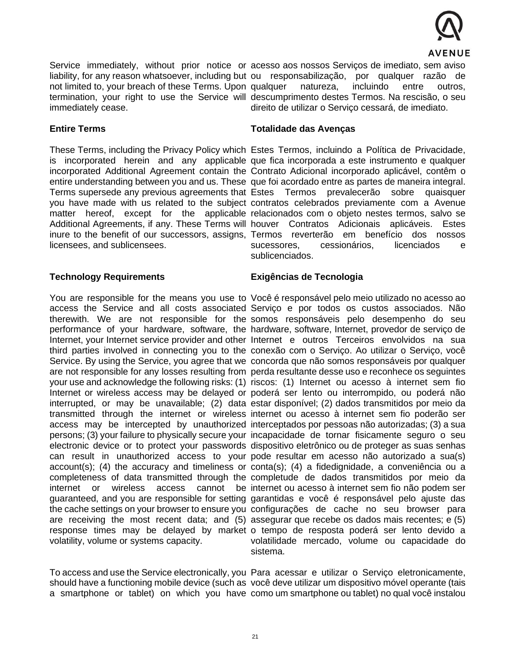

not limited to, your breach of these Terms. Upon immediately cease.

Service immediately, without prior notice or acesso aos nossos Serviços de imediato, sem aviso liability, for any reason whatsoever, including but ou responsabilização, por qualquer razão de termination, your right to use the Service will descumprimento destes Termos. Na rescisão, o seu natureza, incluindo entre outros, direito de utilizar o Serviço cessará, de imediato.

# **Entire Terms**

licensees, and sublicensees.

#### **Technology Requirements**

volatility, volume or systems capacity.

#### **Totalidade das Avenças**

These Terms, including the Privacy Policy which Estes Termos, incluindo a Política de Privacidade, is incorporated herein and any applicable que fica incorporada a este instrumento e qualquer incorporated Additional Agreement contain the Contrato Adicional incorporado aplicável, contêm o entire understanding between you and us. These que foi acordado entre as partes de maneira integral. Terms supersede any previous agreements that Estes Termos prevalecerão sobre quaisquer you have made with us related to the subject contratos celebrados previamente com a Avenue matter hereof, except for the applicable relacionados com o objeto nestes termos, salvo se Additional Agreements, if any. These Terms will houver Contratos Adicionais aplicáveis. Estes inure to the benefit of our successors, assigns, Termos reverterão em benefício dos nossos sucessores, cessionários, licenciados e sublicenciados.

## **Exigências de Tecnologia**

You are responsible for the means you use to Você é responsável pelo meio utilizado no acesso ao access the Service and all costs associated Serviço e por todos os custos associados. Não therewith. We are not responsible for the somos responsáveis pelo desempenho do seu performance of your hardware, software, the hardware, software, Internet, provedor de serviço de Internet, your Internet service provider and other Internet e outros Terceiros envolvidos na sua third parties involved in connecting you to the conexão com o Serviço. Ao utilizar o Serviço, você Service. By using the Service, you agree that we concorda que não somos responsáveis por qualquer are not responsible for any losses resulting from perda resultante desse uso e reconhece os seguintes your use and acknowledge the following risks: (1) riscos: (1) Internet ou acesso à internet sem fio Internet or wireless access may be delayed or poderá ser lento ou interrompido, ou poderá não interrupted, or may be unavailable; (2) data estar disponível; (2) dados transmitidos por meio da transmitted through the internet or wireless internet ou acesso à internet sem fio poderão ser access may be intercepted by unauthorized interceptados por pessoas não autorizadas; (3) a sua persons; (3) your failure to physically secure your incapacidade de tornar fisicamente seguro o seu electronic device or to protect your passwords dispositivo eletrônico ou de proteger as suas senhas can result in unauthorized access to your pode resultar em acesso não autorizado a sua(s) account(s); (4) the accuracy and timeliness or conta(s); (4) a fidedignidade, a conveniência ou a completeness of data transmitted through the completude de dados transmitidos por meio da internet or wireless access cannot be internet ou acesso à internet sem fio não podem ser guaranteed, and you are responsible for setting garantidas e você é responsável pelo ajuste das the cache settings on your browser to ensure you configurações de cache no seu browser para are receiving the most recent data; and (5) assegurar que recebe os dados mais recentes; e (5) response times may be delayed by market o tempo de resposta poderá ser lento devido a volatilidade mercado, volume ou capacidade do sistema.

To access and use the Service electronically, you Para acessar e utilizar o Serviço eletronicamente, should have a functioning mobile device (such as você deve utilizar um dispositivo móvel operante (tais a smartphone or tablet) on which you have como um smartphone ou tablet) no qual você instalou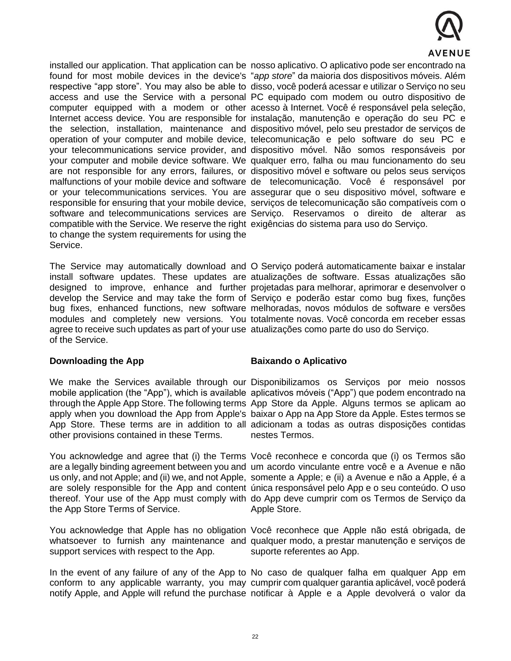

compatible with the Service. We reserve the right exigências do sistema para uso do Serviço. to change the system requirements for using the Service.

agree to receive such updates as part of your use atualizações como parte do uso do Serviço. of the Service.

#### **Downloading the App**

other provisions contained in these Terms.

the App Store Terms of Service.

support services with respect to the App.

installed our application. That application can be nosso aplicativo. O aplicativo pode ser encontrado na found for most mobile devices in the device's "*app store*" da maioria dos dispositivos móveis. Além respective "app store". You may also be able to disso, você poderá acessar e utilizar o Serviço no seu access and use the Service with a personal PC equipado com modem ou outro dispositivo de computer equipped with a modem or other acesso à Internet. Você é responsável pela seleção, Internet access device. You are responsible for instalação, manutenção e operação do seu PC e the selection, installation, maintenance and dispositivo móvel, pelo seu prestador de serviços de operation of your computer and mobile device, telecomunicação e pelo software do seu PC e your telecommunications service provider, and dispositivo móvel. Não somos responsáveis por your computer and mobile device software. We qualquer erro, falha ou mau funcionamento do seu are not responsible for any errors, failures, or dispositivo móvel e software ou pelos seus serviços malfunctions of your mobile device and software de telecomunicação. Você é responsável por or your telecommunications services. You are assegurar que o seu dispositivo móvel, software e responsible for ensuring that your mobile device, serviços de telecomunicação são compatíveis com o software and telecommunications services are Serviço. Reservamos o direito de alterar as

The Service may automatically download and O Serviço poderá automaticamente baixar e instalar install software updates. These updates are atualizações de software. Essas atualizações são designed to improve, enhance and further projetadas para melhorar, aprimorar e desenvolver o develop the Service and may take the form of Serviço e poderão estar como bug fixes, funções bug fixes, enhanced functions, new software melhoradas, novos módulos de software e versões modules and completely new versions. You totalmente novas. Você concorda em receber essas

# **Baixando o Aplicativo**

We make the Services available through our Disponibilizamos os Serviços por meio nossos mobile application (the "App"), which is available aplicativos móveis ("App") que podem encontrado na through the Apple App Store. The following terms App Store da Apple. Alguns termos se aplicam ao apply when you download the App from Apple's baixar o App na App Store da Apple. Estes termos se App Store. These terms are in addition to all adicionam a todas as outras disposições contidas nestes Termos.

You acknowledge and agree that (i) the Terms Você reconhece e concorda que (i) os Termos são are a legally binding agreement between you and um acordo vinculante entre você e a Avenue e não us only, and not Apple; and (ii) we, and not Apple, somente a Apple; e (ii) a Avenue e não a Apple, é a are solely responsible for the App and content única responsável pelo App e o seu conteúdo. O uso thereof. Your use of the App must comply with do App deve cumprir com os Termos de Serviço da Apple Store.

You acknowledge that Apple has no obligation Você reconhece que Apple não está obrigada, de whatsoever to furnish any maintenance and qualquer modo, a prestar manutenção e serviços de suporte referentes ao App.

In the event of any failure of any of the App to No caso de qualquer falha em qualquer App em conform to any applicable warranty, you may cumprir com qualquer garantia aplicável, você poderá notify Apple, and Apple will refund the purchase notificar à Apple e a Apple devolverá o valor da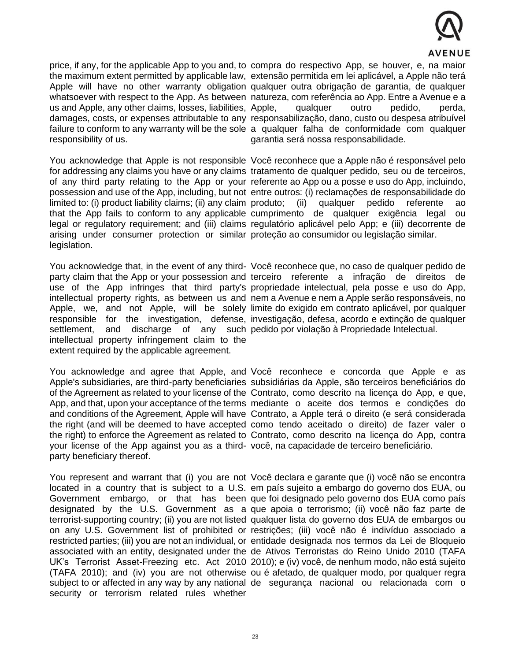

us and Apple, any other claims, losses, liabilities, Apple, responsibility of us.

limited to: (i) product liability claims; (ii) any claim produto; (ii) arising under consumer protection or similar proteção ao consumidor ou legislação similar. legislation.

settlement, and discharge of any such pedido por violação à Propriedade Intelectual. intellectual property infringement claim to the extent required by the applicable agreement.

your license of the App against you as a third-você, na capacidade de terceiro beneficiário. party beneficiary thereof.

security or terrorism related rules whether

price, if any, for the applicable App to you and, to compra do respectivo App, se houver, e, na maior the maximum extent permitted by applicable law, extensão permitida em lei aplicável, a Apple não terá Apple will have no other warranty obligation qualquer outra obrigação de garantia, de qualquer whatsoever with respect to the App. As between natureza, com referência ao App. Entre a Avenue e a damages, costs, or expenses attributable to any responsabilização, dano, custo ou despesa atribuível failure to conform to any warranty will be the sole a qualquer falha de conformidade com qualquer qualquer outro pedido, perda, garantia será nossa responsabilidade.

You acknowledge that Apple is not responsible Você reconhece que a Apple não é responsável pelo for addressing any claims you have or any claims tratamento de qualquer pedido, seu ou de terceiros, of any third party relating to the App or your referente ao App ou a posse e uso do App, incluindo, possession and use of the App, including, but not entre outros: (i) reclamações de responsabilidade do that the App fails to conform to any applicable cumprimento de qualquer exigência legal ou legal or regulatory requirement; and (iii) claims regulatório aplicável pelo App; e (iii) decorrente de qualquer pedido referente ao

You acknowledge that, in the event of any third- Você reconhece que, no caso de qualquer pedido de party claim that the App or your possession and terceiro referente a infração de direitos de use of the App infringes that third party's propriedade intelectual, pela posse e uso do App, intellectual property rights, as between us and nem a Avenue e nem a Apple serão responsáveis, no Apple, we, and not Apple, will be solely limite do exigido em contrato aplicável, por qualquer responsible for the investigation, defense, investigação, defesa, acordo e extinção de qualquer

You acknowledge and agree that Apple, and Você reconhece e concorda que Apple e as Apple's subsidiaries, are third-party beneficiaries subsidiárias da Apple, são terceiros beneficiários do of the Agreement as related to your license of the Contrato, como descrito na licença do App, e que, App, and that, upon your acceptance of the terms mediante o aceite dos termos e condições do and conditions of the Agreement, Apple will have Contrato, a Apple terá o direito (e será considerada the right (and will be deemed to have accepted como tendo aceitado o direito) de fazer valer o the right) to enforce the Agreement as related to Contrato, como descrito na licença do App, contra

You represent and warrant that (i) you are not Você declara e garante que (i) você não se encontra located in a country that is subject to a U.S. em país sujeito a embargo do governo dos EUA, ou Government embargo, or that has been que foi designado pelo governo dos EUA como país designated by the U.S. Government as a que apoia o terrorismo; (ii) você não faz parte de terrorist-supporting country; (ii) you are not listed qualquer lista do governo dos EUA de embargos ou on any U.S. Government list of prohibited or restrições; (iii) você não é indivíduo associado a restricted parties; (iii) you are not an individual, or entidade designada nos termos da Lei de Bloqueio associated with an entity, designated under the de Ativos Terroristas do Reino Unido 2010 (TAFA UK's Terrorist Asset-Freezing etc. Act 2010 2010); e (iv) você, de nenhum modo, não está sujeito (TAFA 2010); and (iv) you are not otherwise ou é afetado, de qualquer modo, por qualquer regra subject to or affected in any way by any national de segurança nacional ou relacionada com o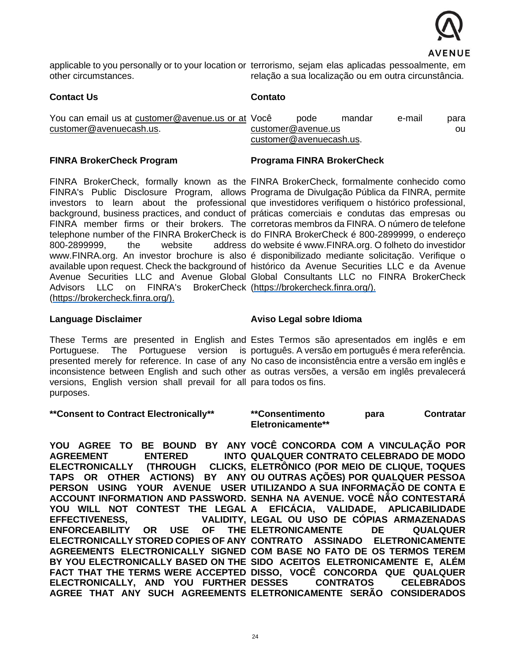

applicable to you personally or to your location or terrorismo, sejam elas aplicadas pessoalmente, em other circumstances. relação a sua localização ou em outra circunstância.

## **Contact Us**

# **Contato**

| You can email us at customer@avenue.us or at Você |                         | pode | mandar | e-mail | para |  |
|---------------------------------------------------|-------------------------|------|--------|--------|------|--|
| customer@avenuecash.us.                           | customer@avenue.us      |      |        |        | ou   |  |
|                                                   | customer@avenuecash.us. |      |        |        |      |  |

# **FINRA BrokerCheck Program**

800-2899999. the website Advisors LLC on FINRA's BrokerCheck [\(https://brokercheck.finra.org/\)](https://brokercheck.finra.org/). [\(https://brokercheck.finra.org/\)](https://brokercheck.finra.org/).

#### **Programa FINRA BrokerCheck**

FINRA BrokerCheck, formally known as the FINRA BrokerCheck, formalmente conhecido como FINRA's Public Disclosure Program, allows Programa de Divulgação Pública da FINRA, permite investors to learn about the professional que investidores verifiquem o histórico professional, background, business practices, and conduct of práticas comerciais e condutas das empresas ou FINRA member firms or their brokers. The corretoras membros da FINRA. O número de telefone telephone number of the FINRA BrokerCheck is do FINRA BrokerCheck é 800-2899999, o endereço [www.FINRA.org. A](http://www.finra.org/)n investor brochure is also é disponibilizado mediante solicitação. Verifique o available upon request. Check the background of histórico da Avenue Securities LLC e da Avenue Avenue Securities LLC and Avenue Global Global Consultants LLC no FINRA BrokerCheck address do website é [www.FINRA.org. O](http://www.finra.org/) folheto do investidor

#### **Language Disclaimer**

versions, English version shall prevail for all para todos os fins. purposes.

#### **\*\*Consent to Contract Electronically\*\***

# **Aviso Legal sobre Idioma**

These Terms are presented in English and Estes Termos são apresentados em inglês e em Portuguese. The Portuguese version is português. A versão em português é mera referência. presented merely for reference. In case of any No caso de inconsistência entre a versão em inglês e inconsistence between English and such other as outras versões, a versão em inglês prevalecerá

> **\*\*Consentimento para Contratar Eletronicamente\*\***

YOU AGREE TO BE BOUND BY ANY VOCÊ CONCORDA COM A VINCULAÇÃO POR **AGREEMENT ENTERED** ELECTRONICALLY (THROUGH CLICKS, ELETRÔNICO (POR MEIO DE CLIQUE, TOQUES **TAPS OR OTHER ACTIONS) BY ANY OU OUTRAS AÇÕES) POR QUALQUER PESSOA PERSON USING YOUR AVENUE USER UTILIZANDO A SUA INFORMAÇÃO DE CONTA E ACCOUNT INFORMATION AND PASSWORD. SENHA NA AVENUE. VOCÊ NÃO CONTESTARÁ**  YOU WILL NOT CONTEST THE LEGAL A EFICACIA, VALIDADE, APLICABILIDADE **EFFECTIVENESS. ENFORCEABILITY OR USE OF ELECTRONICALLY STORED COPIES OF ANY CONTRATO ASSINADO ELETRONICAMENTE AGREEMENTS ELECTRONICALLY SIGNED COM BASE NO FATO DE OS TERMOS TEREM BY YOU ELECTRONICALLY BASED ON THE SIDO ACEITOS ELETRONICAMENTE E, ALÉM FACT THAT THE TERMS WERE ACCEPTED DISSO, VOCÊ CONCORDA QUE QUALQUER ELECTRONICALLY, AND YOU FURTHER AGREE THAT ANY SUCH AGREEMENTS ELETRONICAMENTE SERÃO CONSIDERADOS QUALQUER CONTRATO CELEBRADO DE MODO LEGAL OU USO DE CÓPIAS ARMAZENADAS ELETRONICAMENTE DE QUALQUER**  CONTRATOS CELEBRADOS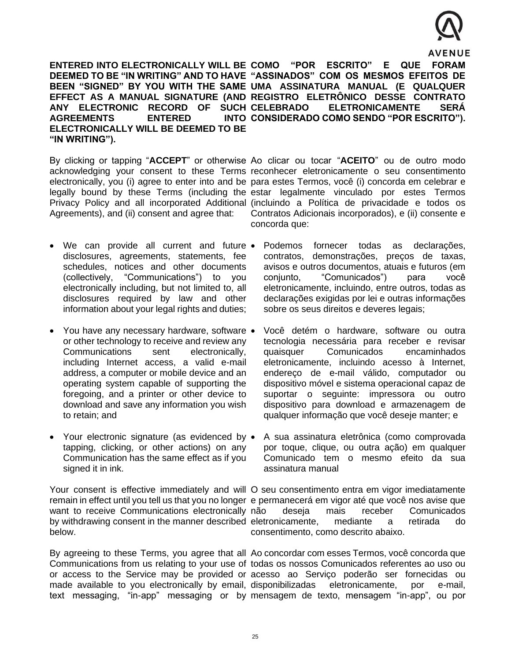

**ENTERED INTO ELECTRONICALLY WILL BE COMO "POR ESCRITO" E QUE FORAM DEEMED TO BE "IN WRITING" AND TO HAVE "ASSINADOS" COM OS MESMOS EFEITOS DE BEEN "SIGNED" BY YOU WITH THE SAME UMA ASSINATURA MANUAL (E QUALQUER EFFECT AS A MANUAL SIGNATURE (AND REGISTRO ELETRÔNICO DESSE CONTRATO**  ANY ELECTRONIC RECORD OF SUCH CELEBRADO **AGREEMENTS ENTERED ELECTRONICALLY WILL BE DEEMED TO BE "IN WRITING"). CELEBRADO ELETRONICAMENTE SERÁ CONSIDERADO COMO SENDO "POR ESCRITO").**

Agreements), and (ii) consent and agree that:

By clicking or tapping "ACCEPT" or otherwise Ao clicar ou tocar "ACEITO" ou de outro modo acknowledging your consent to these Terms reconhecer eletronicamente o seu consentimento electronically, you (i) agree to enter into and be para estes Termos, você (i) concorda em celebrar e legally bound by these Terms (including the estar legalmente vinculado por estes Termos Privacy Policy and all incorporated Additional (incluindo a Política de privacidade e todos os Contratos Adicionais incorporados), e (ii) consente e concorda que:

- We can provide all current and future disclosures, agreements, statements, fee schedules, notices and other documents (collectively, "Communications") to you electronically including, but not limited to, all disclosures required by law and other information about your legal rights and duties;
- You have any necessary hardware, software or other technology to receive and review any Communications sent electronically, including Internet access, a valid e-mail address, a computer or mobile device and an operating system capable of supporting the foregoing, and a printer or other device to download and save any information you wish to retain; and
- Your electronic signature (as evidenced by  $\bullet$ tapping, clicking, or other actions) on any Communication has the same effect as if you signed it in ink.

want to receive Communications electronically não below.

made available to you electronically by email, disponibilizadas

- Podemos fornecer todas as declarações, contratos, demonstrações, preços de taxas, avisos e outros documentos, atuais e futuros (em conjunto, "Comunicados") para você eletronicamente, incluindo, entre outros, todas as declarações exigidas por lei e outras informações sobre os seus direitos e deveres legais;
- Você detém o hardware, software ou outra tecnologia necessária para receber e revisar quaisquer Comunicados encaminhados eletronicamente, incluindo acesso à Internet, endereço de e-mail válido, computador ou dispositivo móvel e sistema operacional capaz de suportar o seguinte: impressora ou outro dispositivo para download e armazenagem de qualquer informação que você deseje manter; e
- A sua assinatura eletrônica (como comprovada por toque, clique, ou outra ação) em qualquer Comunicado tem o mesmo efeito da sua assinatura manual

Your consent is effective immediately and will O seu consentimento entra em vigor imediatamente remain in effect until you tell us that you no longer e permanecerá em vigor até que você nos avise que by withdrawing consent in the manner described eletronicamente, mediante a retirada do deseja mais receber Comunicados consentimento, como descrito abaixo.

By agreeing to these Terms, you agree that all Ao concordar com esses Termos, você concorda que Communications from us relating to your use of todas os nossos Comunicados referentes ao uso ou or access to the Service may be provided or acesso ao Serviço poderão ser fornecidas ou text messaging, "in-app" messaging or by mensagem de texto, mensagem "in-app", ou por eletronicamente, por e-mail,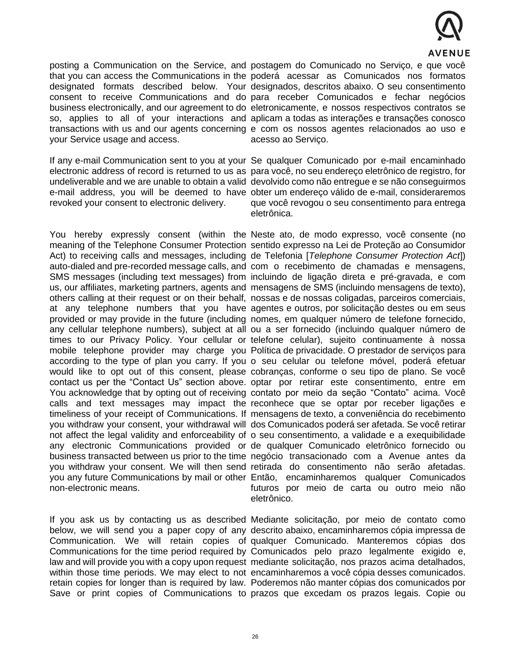

posting a Communication on the Service, and postagem do Comunicado no Serviço, e que você your Service usage and access.

revoked your consent to electronic delivery.

non-electronic means.

that you can access the Communications in the poderá acessar as Comunicados nos formatos designated formats described below. Your designados, descritos abaixo. O seu consentimento consent to receive Communications and do para receber Comunicados e fechar negócios business electronically, and our agreement to do eletronicamente, e nossos respectivos contratos se so, applies to all of your interactions and aplicam a todas as interações e transações conosco transactions with us and our agents concerning e com os nossos agentes relacionados ao uso e acesso ao Serviço.

If any e-mail Communication sent to you at your Se qualquer Comunicado por e-mail encaminhado electronic address of record is returned to us as para você, no seu endereço eletrônico de registro, for undeliverable and we are unable to obtain a valid devolvido como não entregue e se não conseguirmos e-mail address, you will be deemed to have obter um endereço válido de e-mail, consideraremos que você revogou o seu consentimento para entrega eletrônica.

You hereby expressly consent (within the Neste ato, de modo expresso, você consente (no meaning of the Telephone Consumer Protection sentido expresso na Lei de Proteção ao Consumidor Act) to receiving calls and messages, including de Telefonia [*Telephone Consumer Protection Act*]) auto-dialed and pre-recorded message calls, and com o recebimento de chamadas e mensagens, SMS messages (including text messages) from incluindo de ligação direta e pré-gravada, e com us, our affiliates, marketing partners, agents and mensagens de SMS (incluindo mensagens de texto), others calling at their request or on their behalf, nossas e de nossas coligadas, parceiros comerciais, at any telephone numbers that you have agentes e outros, por solicitação destes ou em seus provided or may provide in the future (including nomes, em qualquer número de telefone fornecido, any cellular telephone numbers), subject at all ou a ser fornecido (incluindo qualquer número de times to our Privacy Policy. Your cellular or telefone celular), sujeito continuamente à nossa mobile telephone provider may charge you Política de privacidade. O prestador de serviços para according to the type of plan you carry. If you o seu celular ou telefone móvel, poderá efetuar would like to opt out of this consent, please cobranças, conforme o seu tipo de plano. Se você contact us per the "Contact Us" section above. optar por retirar este consentimento, entre em You acknowledge that by opting out of receiving contato por meio da seção "Contato" acima. Você calls and text messages may impact the reconhece que se optar por receber ligações e timeliness of your receipt of Communications. If mensagens de texto, a conveniência do recebimento you withdraw your consent, your withdrawal will dos Comunicados poderá ser afetada. Se você retirar not affect the legal validity and enforceability of o seu consentimento, a validade e a exequibilidade any electronic Communications provided or de qualquer Comunicado eletrônico fornecido ou business transacted between us prior to the time negócio transacionado com a Avenue antes da you withdraw your consent. We will then send retirada do consentimento não serão afetadas. you any future Communications by mail or other Então, encaminharemos qualquer Comunicados futuros por meio de carta ou outro meio não eletrônico.

If you ask us by contacting us as described Mediante solicitação, por meio de contato como below, we will send you a paper copy of any descrito abaixo, encaminharemos cópia impressa de Communication. We will retain copies of qualquer Comunicado. Manteremos cópias dos Communications for the time period required by Comunicados pelo prazo legalmente exigido e, law and will provide you with a copy upon request mediante solicitação, nos prazos acima detalhados, within those time periods. We may elect to not encaminharemos a você cópia desses comunicados. retain copies for longer than is required by law. Poderemos não manter cópias dos comunicados por Save or print copies of Communications to prazos que excedam os prazos legais. Copie ou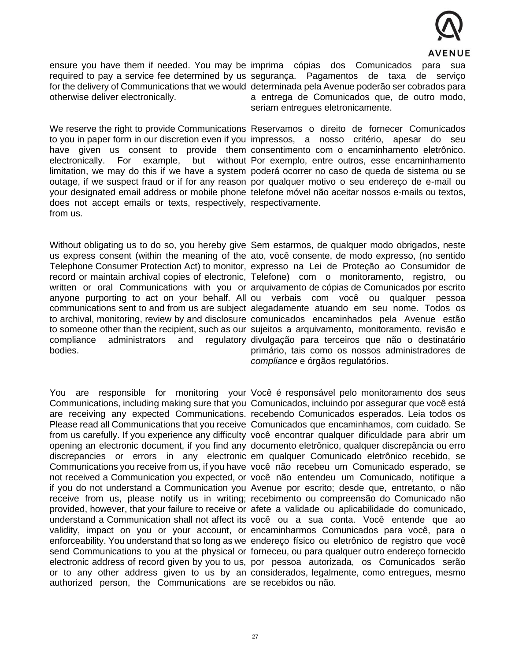

otherwise deliver electronically.

We reserve the right to provide Communications Reservamos o direito de fornecer Comunicados does not accept emails or texts, respectively, respectivamente. from us.

compliance administrators and bodies.

ensure you have them if needed. You may be imprima cópias dos Comunicados para sua required to pay a service fee determined by us segurança. Pagamentos de taxa de serviço for the delivery of Communications that we would determinada pela Avenue poderão ser cobrados para a entrega de Comunicados que, de outro modo, seriam entregues eletronicamente.

to you in paper form in our discretion even if you impressos, a nosso critério, apesar do seu have given us consent to provide them consentimento com o encaminhamento eletrônico. electronically. For example, but without Por exemplo, entre outros, esse encaminhamento limitation, we may do this if we have a system poderá ocorrer no caso de queda de sistema ou se outage, if we suspect fraud or if for any reason por qualquer motivo o seu endereço de e-mail ou your designated email address or mobile phone telefone móvel não aceitar nossos e-mails ou textos,

Without obligating us to do so, you hereby give Sem estarmos, de qualquer modo obrigados, neste us express consent (within the meaning of the ato, você consente, de modo expresso, (no sentido Telephone Consumer Protection Act) to monitor, expresso na Lei de Proteção ao Consumidor de record or maintain archival copies of electronic, Telefone) com o monitoramento, registro, ou written or oral Communications with you or arquivamento de cópias de Comunicados por escrito anyone purporting to act on your behalf. All ou verbais com você ou qualquer pessoa communications sent to and from us are subject alegadamente atuando em seu nome. Todos os to archival, monitoring, review by and disclosure comunicados encaminhados pela Avenue estão to someone other than the recipient, such as our sujeitos a arquivamento, monitoramento, revisão e regulatory divulgação para terceiros que não o destinatário primário, tais como os nossos administradores de *compliance* e órgãos regulatórios.

authorized person, the Communications are se recebidos ou não.

You are responsible for monitoring your Você é responsável pelo monitoramento dos seus Communications, including making sure that you Comunicados, incluindo por assegurar que você está are receiving any expected Communications. recebendo Comunicados esperados. Leia todos os Please read all Communications that you receive Comunicados que encaminhamos, com cuidado. Se from us carefully. If you experience any difficulty você encontrar qualquer dificuldade para abrir um opening an electronic document, if you find any documento eletrônico, qualquer discrepância ou erro discrepancies or errors in any electronic em qualquer Comunicado eletrônico recebido, se Communications you receive from us, if you have você não recebeu um Comunicado esperado, se not received a Communication you expected, or você não entendeu um Comunicado, notifique a if you do not understand a Communication you Avenue por escrito; desde que, entretanto, o não receive from us, please notify us in writing; recebimento ou compreensão do Comunicado não provided, however, that your failure to receive or afete a validade ou aplicabilidade do comunicado, understand a Communication shall not affect its você ou a sua conta. Você entende que ao validity, impact on you or your account, or encaminharmos Comunicados para você, para o enforceability. You understand that so long as we endereço físico ou eletrônico de registro que você send Communications to you at the physical or forneceu, ou para qualquer outro endereço fornecido electronic address of record given by you to us, por pessoa autorizada, os Comunicados serão or to any other address given to us by an considerados, legalmente, como entregues, mesmo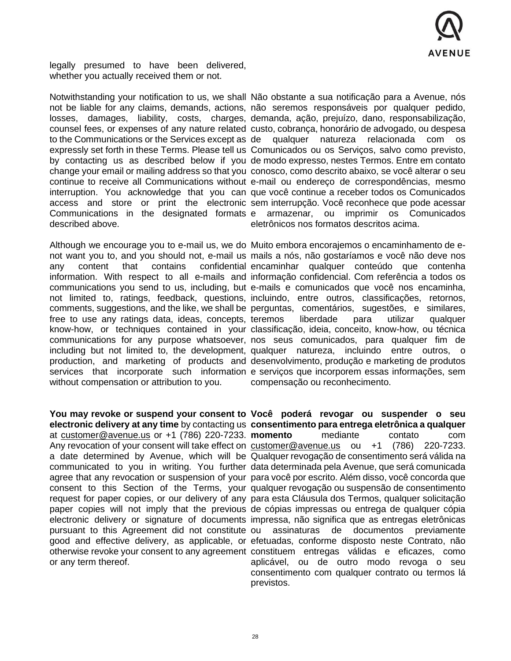

legally presumed to have been delivered, whether you actually received them or not.

described above.

free to use any ratings data, ideas, concepts, without compensation or attribution to you.

or any term thereof.

Notwithstanding your notification to us, we shall Não obstante a sua notificação para a Avenue, nós not be liable for any claims, demands, actions, não seremos responsáveis por qualquer pedido, losses, damages, liability, costs, charges, demanda, ação, prejuízo, dano, responsabilização, counsel fees, or expenses of any nature related custo, cobrança, honorário de advogado, ou despesa to the Communications or the Services except as de qualquer natureza relacionada com os expressly set forth in these Terms. Please tell us Comunicados ou os Serviços, salvo como previsto, by contacting us as described below if you de modo expresso, nestes Termos. Entre em contato change your email or mailing address so that you conosco, como descrito abaixo, se você alterar o seu continue to receive all Communications without e-mail ou endereço de correspondências, mesmo interruption. You acknowledge that you can que você continue a receber todos os Comunicados access and store or print the electronic sem interrupção. Você reconhece que pode acessar Communications in the designated formats e armazenar, ou imprimir os Comunicados eletrônicos nos formatos descritos acima.

Although we encourage you to e-mail us, we do Muito embora encorajemos o encaminhamento de enot want you to, and you should not, e-mail us mails a nós, não gostaríamos e você não deve nos any content that contains confidential encaminhar qualquer conteúdo que contenha information. With respect to all e-mails and informação confidencial. Com referência a todos os communications you send to us, including, but e-mails e comunicados que você nos encaminha, not limited to, ratings, feedback, questions, incluindo, entre outros, classificações, retornos, comments, suggestions, and the like, we shall be perguntas, comentários, sugestões, e similares, know-how, or techniques contained in your classificação, ideia, conceito, know-how, ou técnica communications for any purpose whatsoever, nos seus comunicados, para qualquer fim de including but not limited to, the development, qualquer natureza, incluindo entre outros, o production, and marketing of products and desenvolvimento, produção e marketing de produtos services that incorporate such information e serviços que incorporem essas informações, sem liberdade para utilizar qualquer compensação ou reconhecimento.

You may revoke or suspend your consent to Você poderá revogar ou suspender o seu **electronic delivery at any time** by contacting us **consentimento para entrega eletrônica a qualquer**  at [customer@avenue.us](mailto:customer@avenue.us) or +1 (786) 220-7233. **momento** mediante contato com Any revocation of your consent will take effect on [customer@avenue.us](mailto:customer@avenue.us) ou +1 (786) 220-7233. a date determined by Avenue, which will be Qualquer revogação de consentimento será válida na communicated to you in writing. You further data determinada pela Avenue, que será comunicada agree that any revocation or suspension of your para você por escrito. Além disso, você concorda que consent to this Section of the Terms, your qualquer revogação ou suspensão de consentimento request for paper copies, or our delivery of any para esta Cláusula dos Termos, qualquer solicitação paper copies will not imply that the previous de cópias impressas ou entrega de qualquer cópia electronic delivery or signature of documents impressa, não significa que as entregas eletrônicas pursuant to this Agreement did not constitute ou assinaturas de documentos previamente good and effective delivery, as applicable, or efetuadas, conforme disposto neste Contrato, não otherwise revoke your consent to any agreement constituem entregas válidas e eficazes, como aplicável, ou de outro modo revoga o seu consentimento com qualquer contrato ou termos lá previstos.